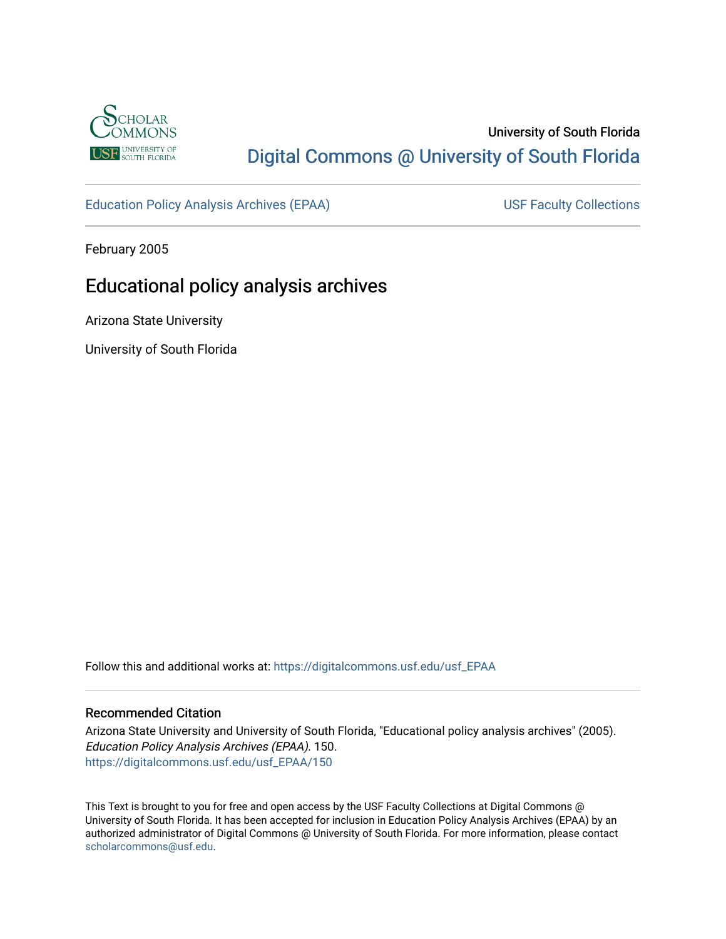

## University of South Florida [Digital Commons @ University of South Florida](https://digitalcommons.usf.edu/)

[Education Policy Analysis Archives \(EPAA\)](https://digitalcommons.usf.edu/usf_EPAA) USF Faculty Collections

February 2005

# Educational policy analysis archives

Arizona State University

University of South Florida

Follow this and additional works at: [https://digitalcommons.usf.edu/usf\\_EPAA](https://digitalcommons.usf.edu/usf_EPAA?utm_source=digitalcommons.usf.edu%2Fusf_EPAA%2F150&utm_medium=PDF&utm_campaign=PDFCoverPages)

#### Recommended Citation

Arizona State University and University of South Florida, "Educational policy analysis archives" (2005). Education Policy Analysis Archives (EPAA). 150. [https://digitalcommons.usf.edu/usf\\_EPAA/150](https://digitalcommons.usf.edu/usf_EPAA/150?utm_source=digitalcommons.usf.edu%2Fusf_EPAA%2F150&utm_medium=PDF&utm_campaign=PDFCoverPages)

This Text is brought to you for free and open access by the USF Faculty Collections at Digital Commons @ University of South Florida. It has been accepted for inclusion in Education Policy Analysis Archives (EPAA) by an authorized administrator of Digital Commons @ University of South Florida. For more information, please contact [scholarcommons@usf.edu.](mailto:scholarcommons@usf.edu)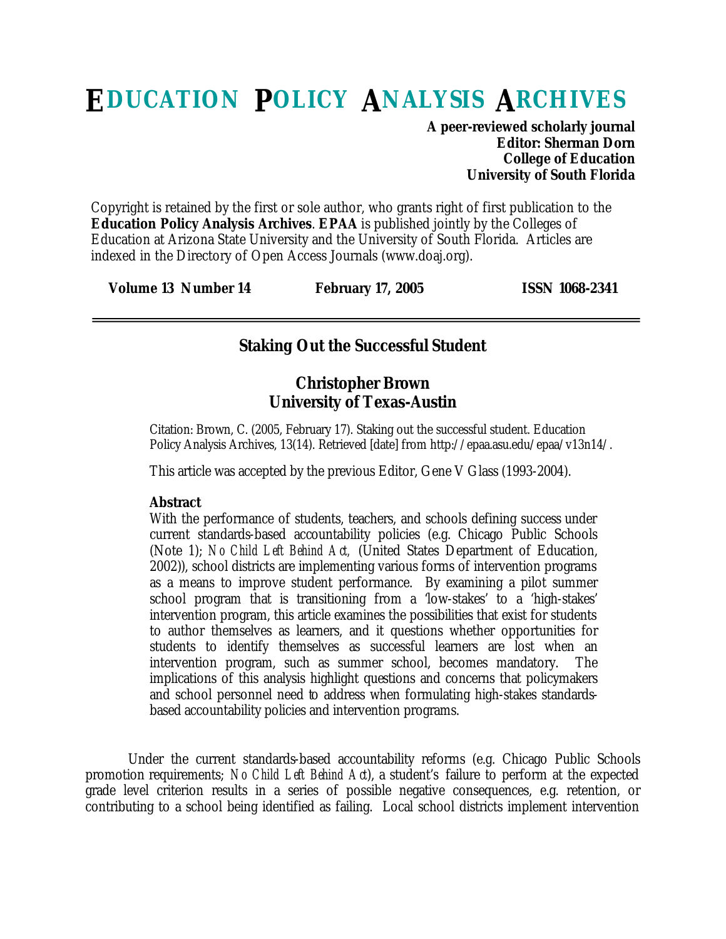# **EDUCATION POLICY ANALYSIS ARCHIVES**

**A peer-reviewed scholarly journal Editor: Sherman Dorn College of Education University of South Florida**

Copyright is retained by the first or sole author, who grants right of first publication to the **Education Policy Analysis Archives**. **EPAA** is published jointly by the Colleges of Education at Arizona State University and the University of South Florida. Articles are indexed in the Directory of Open Access Journals (www.doaj.org).

| Volume 13 Number 14 | <b>February 17, 2005</b> | <b>ISSN 1068-2341</b> |
|---------------------|--------------------------|-----------------------|
|---------------------|--------------------------|-----------------------|

#### **Staking Out the Successful Student**

#### **Christopher Brown University of Texas-Austin**

Citation: Brown, C. (2005, February 17). Staking out the successful student. Education Policy Analysis Archives, 13(14). Retrieved [date] from http://epaa.asu.edu/epaa/v13n14/.

This article was accepted by the previous Editor, Gene V Glass (1993-2004).

#### **Abstract**

With the performance of students, teachers, and schools defining success under current standards-based accountability policies (e.g. Chicago Public Schools (Note 1); *No Child Left Behind Act,* (United States Department of Education, 2002)), school districts are implementing various forms of intervention programs as a means to improve student performance. By examining a pilot summer school program that is transitioning from a 'low-stakes' to a 'high-stakes' intervention program, this article examines the possibilities that exist for students to author themselves as learners, and it questions whether opportunities for students to identify themselves as successful learners are lost when an intervention program, such as summer school, becomes mandatory. The implications of this analysis highlight questions and concerns that policymakers and school personnel need to address when formulating high-stakes standardsbased accountability policies and intervention programs.

Under the current standards-based accountability reforms (e.g. Chicago Public Schools promotion requirements; *No Child Left Behind Act*), a student's failure to perform at the expected grade level criterion results in a series of possible negative consequences, e.g. retention, or contributing to a school being identified as failing. Local school districts implement intervention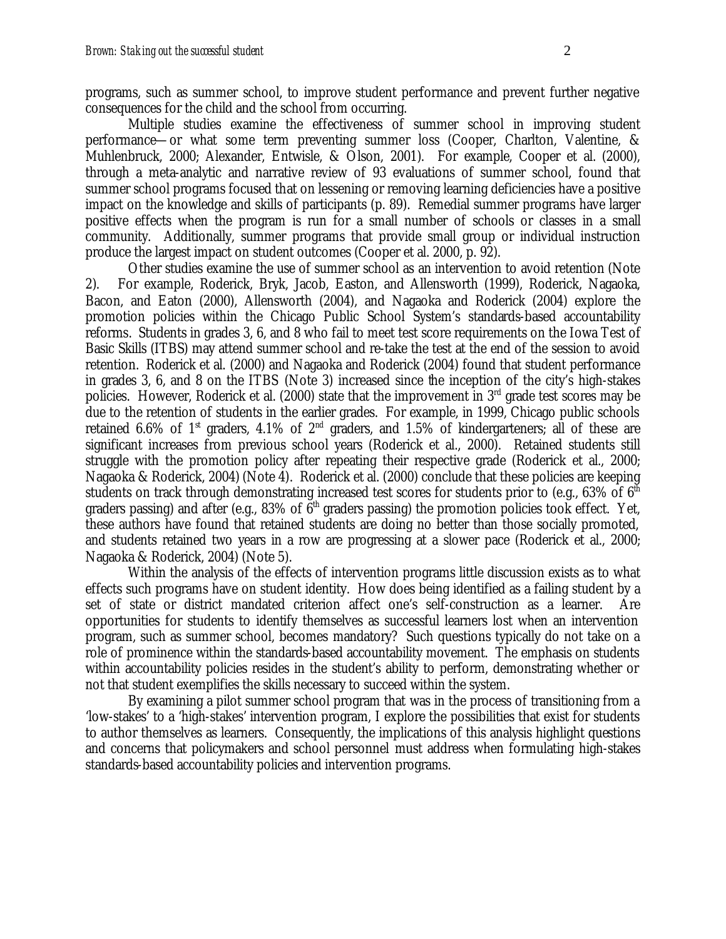programs, such as summer school, to improve student performance and prevent further negative consequences for the child and the school from occurring.

Multiple studies examine the effectiveness of summer school in improving student performance—or what some term preventing summer loss (Cooper, Charlton, Valentine, & Muhlenbruck, 2000; Alexander, Entwisle, & Olson, 2001). For example, Cooper et al. (2000), through a meta-analytic and narrative review of 93 evaluations of summer school, found that summer school programs focused that on lessening or removing learning deficiencies have a positive impact on the knowledge and skills of participants (p. 89). Remedial summer programs have larger positive effects when the program is run for a small number of schools or classes in a small community. Additionally, summer programs that provide small group or individual instruction produce the largest impact on student outcomes (Cooper et al. 2000, p. 92).

Other studies examine the use of summer school as an intervention to avoid retention (Note 2). For example, Roderick, Bryk, Jacob, Easton, and Allensworth (1999), Roderick, Nagaoka, Bacon, and Eaton (2000), Allensworth (2004), and Nagaoka and Roderick (2004) explore the promotion policies within the Chicago Public School System's standards-based accountability reforms. Students in grades 3, 6, and 8 who fail to meet test score requirements on the Iowa Test of Basic Skills (ITBS) may attend summer school and re-take the test at the end of the session to avoid retention. Roderick et al. (2000) and Nagaoka and Roderick (2004) found that student performance in grades 3, 6, and 8 on the ITBS (Note 3) increased since the inception of the city's high-stakes policies. However, Roderick et al. (2000) state that the improvement in 3<sup>rd</sup> grade test scores may be due to the retention of students in the earlier grades. For example, in 1999, Chicago public schools retained 6.6% of 1<sup>st</sup> graders, 4.1% of 2<sup>nd</sup> graders, and 1.5% of kindergarteners; all of these are significant increases from previous school years (Roderick et al., 2000). Retained students still struggle with the promotion policy after repeating their respective grade (Roderick et al., 2000; Nagaoka & Roderick, 2004) (Note 4). Roderick et al. (2000) conclude that these policies are keeping students on track through demonstrating increased test scores for students prior to (e.g., 63% of  $6<sup>th</sup>$ graders passing) and after (e.g., 83% of  $\bar{6}^{th}$  graders passing) the promotion policies took effect. Yet, these authors have found that retained students are doing no better than those socially promoted, and students retained two years in a row are progressing at a slower pace (Roderick et al., 2000; Nagaoka & Roderick, 2004) (Note 5).

Within the analysis of the effects of intervention programs little discussion exists as to what effects such programs have on student identity. How does being identified as a failing student by a set of state or district mandated criterion affect one's self-construction as a learner. Are opportunities for students to identify themselves as successful learners lost when an intervention program, such as summer school, becomes mandatory? Such questions typically do not take on a role of prominence within the standards-based accountability movement. The emphasis on students within accountability policies resides in the student's ability to perform, demonstrating whether or not that student exemplifies the skills necessary to succeed within the system.

By examining a pilot summer school program that was in the process of transitioning from a 'low-stakes' to a 'high-stakes' intervention program, I explore the possibilities that exist for students to author themselves as learners. Consequently, the implications of this analysis highlight questions and concerns that policymakers and school personnel must address when formulating high-stakes standards-based accountability policies and intervention programs.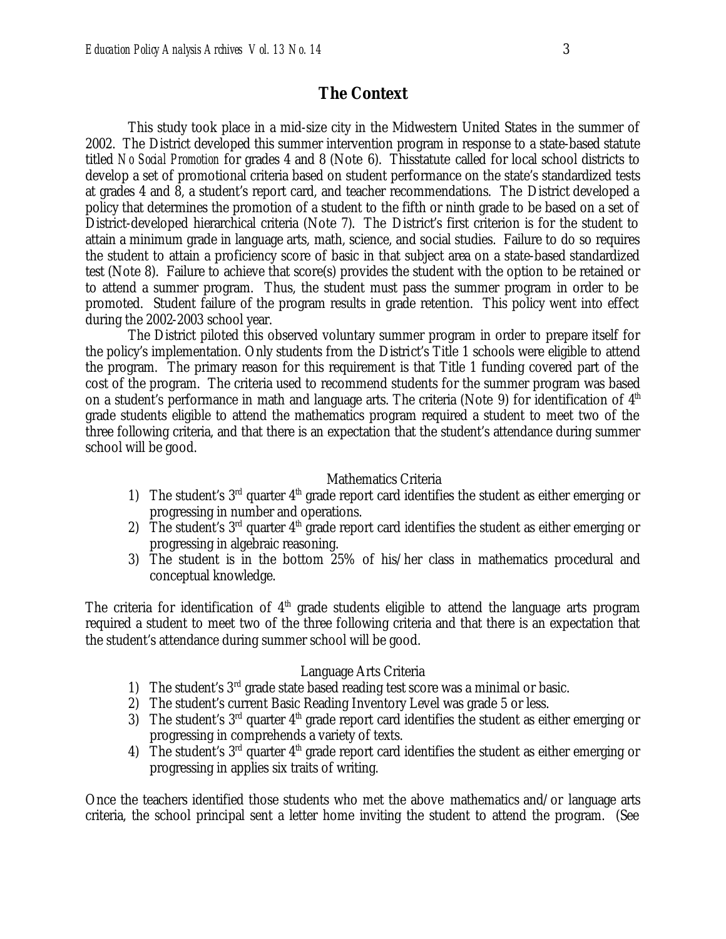#### **The Context**

This study took place in a mid-size city in the Midwestern United States in the summer of 2002. The District developed this summer intervention program in response to a state-based statute titled *No Social Promotion* for grades 4 and 8 (Note 6). Thisstatute called for local school districts to develop a set of promotional criteria based on student performance on the state's standardized tests at grades 4 and 8, a student's report card, and teacher recommendations. The District developed a policy that determines the promotion of a student to the fifth or ninth grade to be based on a set of District-developed hierarchical criteria (Note 7). The District's first criterion is for the student to attain a minimum grade in language arts, math, science, and social studies. Failure to do so requires the student to attain a proficiency score of basic in that subject area on a state-based standardized test (Note 8). Failure to achieve that score(s) provides the student with the option to be retained or to attend a summer program. Thus, the student must pass the summer program in order to be promoted. Student failure of the program results in grade retention. This policy went into effect during the 2002-2003 school year.

The District piloted this observed voluntary summer program in order to prepare itself for the policy's implementation. Only students from the District's Title 1 schools were eligible to attend the program. The primary reason for this requirement is that Title 1 funding covered part of the cost of the program. The criteria used to recommend students for the summer program was based on a student's performance in math and language arts. The criteria (Note 9) for identification of  $4<sup>th</sup>$ grade students eligible to attend the mathematics program required a student to meet two of the three following criteria, and that there is an expectation that the student's attendance during summer school will be good.

#### Mathematics Criteria

- 1) The student's  $3<sup>rd</sup>$  quarter  $4<sup>th</sup>$  grade report card identifies the student as either emerging or progressing in number and operations.
- 2) The student's  $3<sup>rd</sup>$  quarter  $4<sup>th</sup>$  grade report card identifies the student as either emerging or progressing in algebraic reasoning.
- 3) The student is in the bottom 25% of his/her class in mathematics procedural and conceptual knowledge.

The criteria for identification of  $4^{\text{th}}$  grade students eligible to attend the language arts program required a student to meet two of the three following criteria and that there is an expectation that the student's attendance during summer school will be good.

#### Language Arts Criteria

- 1) The student's  $3<sup>rd</sup>$  grade state based reading test score was a minimal or basic.
- 2) The student's current Basic Reading Inventory Level was grade 5 or less.
- 3) The student's  $3<sup>rd</sup>$  quarter  $4<sup>th</sup>$  grade report card identifies the student as either emerging or progressing in comprehends a variety of texts.
- 4) The student's  $3<sup>rd</sup>$  quarter  $4<sup>th</sup>$  grade report card identifies the student as either emerging or progressing in applies six traits of writing.

Once the teachers identified those students who met the above mathematics and/or language arts criteria, the school principal sent a letter home inviting the student to attend the program. (See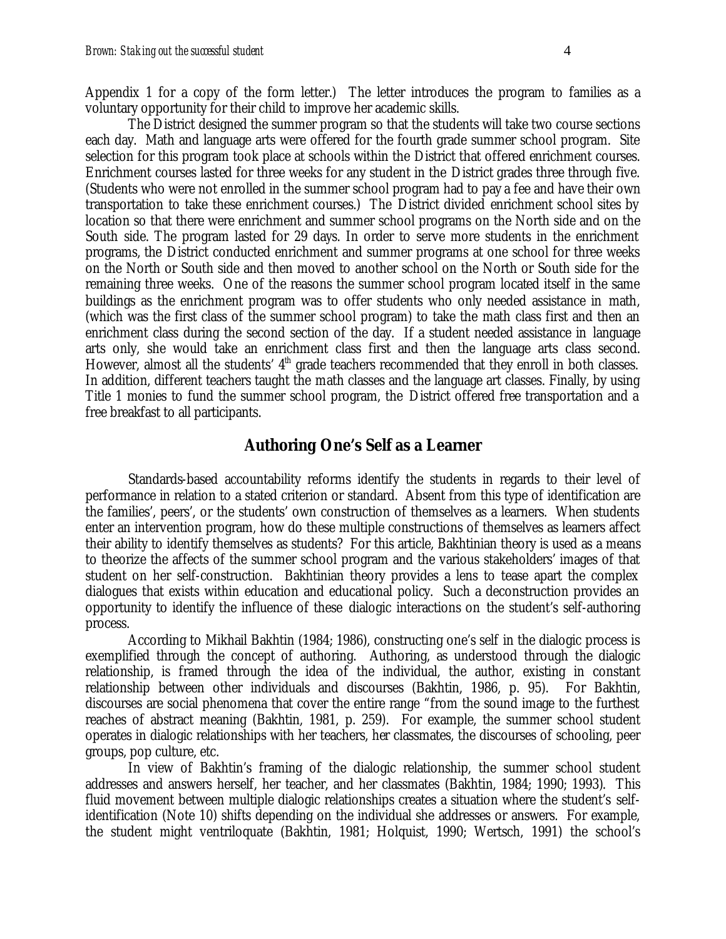Appendix 1 for a copy of the form letter.) The letter introduces the program to families as a voluntary opportunity for their child to improve her academic skills.

The District designed the summer program so that the students will take two course sections each day. Math and language arts were offered for the fourth grade summer school program. Site selection for this program took place at schools within the District that offered enrichment courses. Enrichment courses lasted for three weeks for any student in the District grades three through five. (Students who were not enrolled in the summer school program had to pay a fee and have their own transportation to take these enrichment courses.) The District divided enrichment school sites by location so that there were enrichment and summer school programs on the North side and on the South side. The program lasted for 29 days. In order to serve more students in the enrichment programs, the District conducted enrichment and summer programs at one school for three weeks on the North or South side and then moved to another school on the North or South side for the remaining three weeks. One of the reasons the summer school program located itself in the same buildings as the enrichment program was to offer students who only needed assistance in math, (which was the first class of the summer school program) to take the math class first and then an enrichment class during the second section of the day. If a student needed assistance in language arts only, she would take an enrichment class first and then the language arts class second. However, almost all the students'  $4<sup>th</sup>$  grade teachers recommended that they enroll in both classes. In addition, different teachers taught the math classes and the language art classes. Finally, by using Title 1 monies to fund the summer school program, the District offered free transportation and a free breakfast to all participants.

#### **Authoring One's Self as a Learner**

Standards-based accountability reforms identify the students in regards to their level of performance in relation to a stated criterion or standard. Absent from this type of identification are the families', peers', or the students' own construction of themselves as a learners. When students enter an intervention program, how do these multiple constructions of themselves as learners affect their ability to identify themselves as students? For this article, Bakhtinian theory is used as a means to theorize the affects of the summer school program and the various stakeholders' images of that student on her self-construction. Bakhtinian theory provides a lens to tease apart the complex dialogues that exists within education and educational policy. Such a deconstruction provides an opportunity to identify the influence of these dialogic interactions on the student's self-authoring process.

According to Mikhail Bakhtin (1984; 1986), constructing one's self in the dialogic process is exemplified through the concept of authoring. Authoring, as understood through the dialogic relationship, is framed through the idea of the individual, the author, existing in constant relationship between other individuals and discourses (Bakhtin, 1986, p. 95). For Bakhtin, discourses are social phenomena that cover the entire range "from the sound image to the furthest reaches of abstract meaning (Bakhtin, 1981, p. 259). For example, the summer school student operates in dialogic relationships with her teachers, her classmates, the discourses of schooling, peer groups, pop culture, etc.

In view of Bakhtin's framing of the dialogic relationship, the summer school student addresses and answers herself, her teacher, and her classmates (Bakhtin, 1984; 1990; 1993). This fluid movement between multiple dialogic relationships creates a situation where the student's selfidentification (Note 10) shifts depending on the individual she addresses or answers. For example, the student might ventriloquate (Bakhtin, 1981; Holquist, 1990; Wertsch, 1991) the school's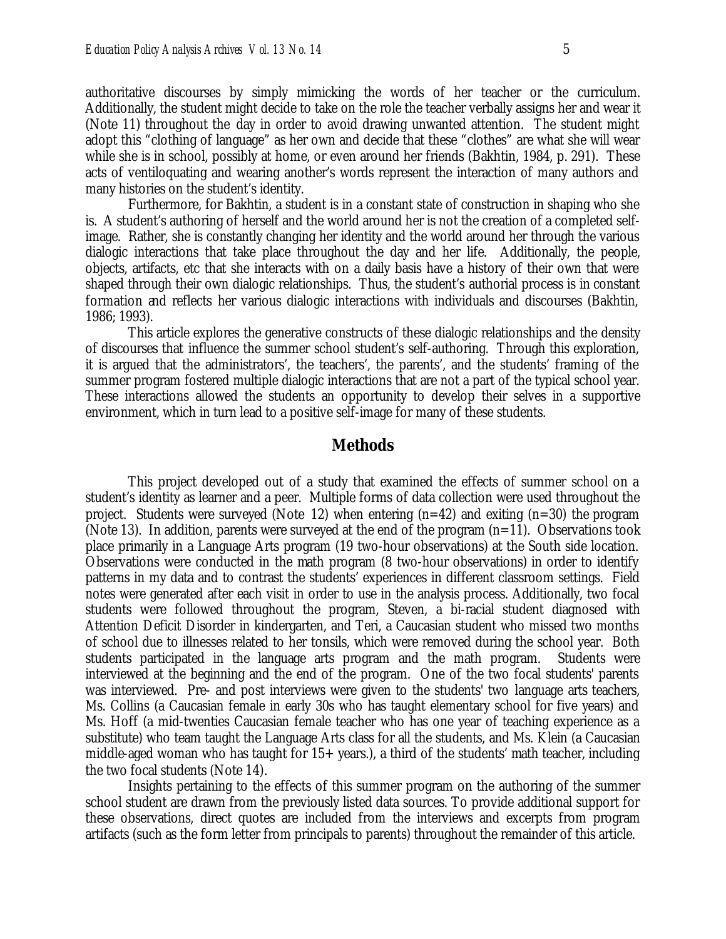authoritative discourses by simply mimicking the words of her teacher or the curriculum. Additionally, the student might decide to take on the role the teacher verbally assigns her and wear it (Note 11) throughout the day in order to avoid drawing unwanted attention. The student might adopt this "clothing of language" as her own and decide that these "clothes" are what she will wear while she is in school, possibly at home, or even around her friends (Bakhtin, 1984, p. 291). These acts of ventiloquating and wearing another's words represent the interaction of many authors and many histories on the student's identity.

Furthermore, for Bakhtin, a student is in a constant state of construction in shaping who she is. A student's authoring of herself and the world around her is not the creation of a completed selfimage. Rather, she is constantly changing her identity and the world around her through the various dialogic interactions that take place throughout the day and her life. Additionally, the people, objects, artifacts, etc that she interacts with on a daily basis have a history of their own that were shaped through their own dialogic relationships. Thus, the student's authorial process is in constant formation and reflects her various dialogic interactions with individuals and discourses (Bakhtin, 1986; 1993).

This article explores the generative constructs of these dialogic relationships and the density of discourses that influence the summer school student's self-authoring. Through this exploration, it is argued that the administrators', the teachers', the parents', and the students' framing of the summer program fostered multiple dialogic interactions that are not a part of the typical school year. These interactions allowed the students an opportunity to develop their selves in a supportive environment, which in turn lead to a positive self-image for many of these students.

#### **Methods**

This project developed out of a study that examined the effects of summer school on a student's identity as learner and a peer. Multiple forms of data collection were used throughout the project. Students were surveyed (Note 12) when entering  $(n=42)$  and exiting  $(n=30)$  the program (Note 13). In addition, parents were surveyed at the end of the program  $(n=11)$ . Observations took place primarily in a Language Arts program (19 two-hour observations) at the South side location. Observations were conducted in the math program (8 two-hour observations) in order to identify patterns in my data and to contrast the students' experiences in different classroom settings. Field notes were generated after each visit in order to use in the analysis process. Additionally, two focal students were followed throughout the program, Steven, a bi-racial student diagnosed with Attention Deficit Disorder in kindergarten, and Teri, a Caucasian student who missed two months of school due to illnesses related to her tonsils, which were removed during the school year. Both students participated in the language arts program and the math program. Students were interviewed at the beginning and the end of the program. One of the two focal students' parents was interviewed. Pre- and post interviews were given to the students' two language arts teachers, Ms. Collins (a Caucasian female in early 30s who has taught elementary school for five years) and Ms. Hoff (a mid-twenties Caucasian female teacher who has one year of teaching experience as a substitute) who team taught the Language Arts class for all the students, and Ms. Klein (a Caucasian middle-aged woman who has taught for  $15+$  years.), a third of the students' math teacher, including the two focal students (Note 14).

Insights pertaining to the effects of this summer program on the authoring of the summer school student are drawn from the previously listed data sources. To provide additional support for these observations, direct quotes are included from the interviews and excerpts from program artifacts (such as the form letter from principals to parents) throughout the remainder of this article.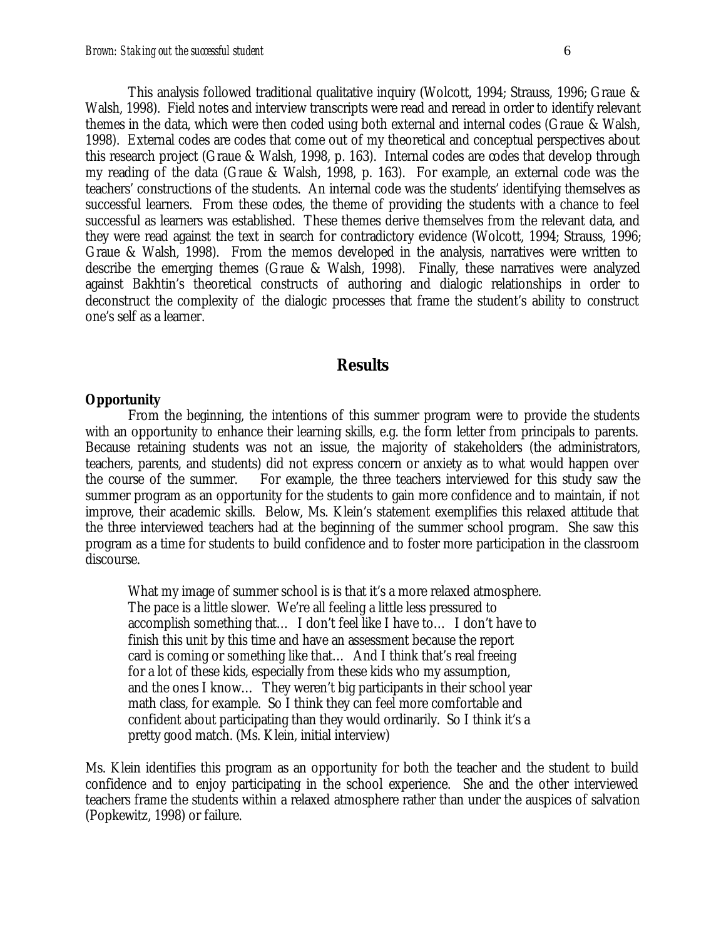This analysis followed traditional qualitative inquiry (Wolcott, 1994; Strauss, 1996; Graue & Walsh, 1998). Field notes and interview transcripts were read and reread in order to identify relevant themes in the data, which were then coded using both external and internal codes (Graue & Walsh, 1998). External codes are codes that come out of my theoretical and conceptual perspectives about this research project (Graue & Walsh, 1998, p. 163). Internal codes are codes that develop through my reading of the data (Graue & Walsh, 1998, p. 163). For example, an external code was the teachers' constructions of the students. An internal code was the students' identifying themselves as successful learners. From these codes, the theme of providing the students with a chance to feel successful as learners was established. These themes derive themselves from the relevant data, and they were read against the text in search for contradictory evidence (Wolcott, 1994; Strauss, 1996; Graue & Walsh, 1998). From the memos developed in the analysis, narratives were written to describe the emerging themes (Graue & Walsh, 1998). Finally, these narratives were analyzed against Bakhtin's theoretical constructs of authoring and dialogic relationships in order to deconstruct the complexity of the dialogic processes that frame the student's ability to construct one's self as a learner.

#### **Results**

#### **Opportunity**

From the beginning, the intentions of this summer program were to provide the students with an opportunity to enhance their learning skills, e.g. the form letter from principals to parents. Because retaining students was not an issue, the majority of stakeholders (the administrators, teachers, parents, and students) did not express concern or anxiety as to what would happen over the course of the summer. For example, the three teachers interviewed for this study saw the summer program as an opportunity for the students to gain more confidence and to maintain, if not improve, their academic skills. Below, Ms. Klein's statement exemplifies this relaxed attitude that the three interviewed teachers had at the beginning of the summer school program. She saw this program as a time for students to build confidence and to foster more participation in the classroom discourse.

What my image of summer school is is that it's a more relaxed atmosphere. The pace is a little slower. We're all feeling a little less pressured to accomplish something that… I don't feel like I have to… I don't have to finish this unit by this time and have an assessment because the report card is coming or something like that… And I think that's real freeing for a lot of these kids, especially from these kids who my assumption, and the ones I know… They weren't big participants in their school year math class, for example. So I think they can feel more comfortable and confident about participating than they would ordinarily. So I think it's a pretty good match. (Ms. Klein, initial interview)

Ms. Klein identifies this program as an opportunity for both the teacher and the student to build confidence and to enjoy participating in the school experience. She and the other interviewed teachers frame the students within a relaxed atmosphere rather than under the auspices of salvation (Popkewitz, 1998) or failure.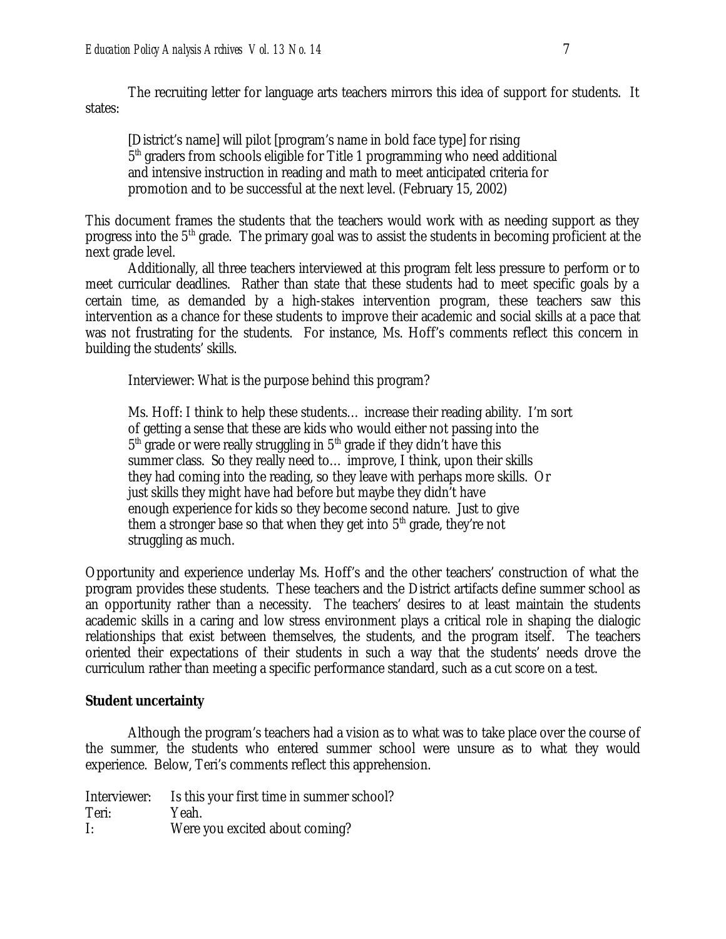The recruiting letter for language arts teachers mirrors this idea of support for students. It states:

[District's name] will pilot [program's name in bold face type] for rising 5<sup>th</sup> graders from schools eligible for Title 1 programming who need additional and intensive instruction in reading and math to meet anticipated criteria for promotion and to be successful at the next level. (February 15, 2002)

This document frames the students that the teachers would work with as needing support as they progress into the 5th grade. The primary goal was to assist the students in becoming proficient at the next grade level.

Additionally, all three teachers interviewed at this program felt less pressure to perform or to meet curricular deadlines. Rather than state that these students had to meet specific goals by a certain time, as demanded by a high-stakes intervention program, these teachers saw this intervention as a chance for these students to improve their academic and social skills at a pace that was not frustrating for the students. For instance, Ms. Hoff's comments reflect this concern in building the students' skills.

Interviewer: What is the purpose behind this program?

Ms. Hoff: I think to help these students… increase their reading ability. I'm sort of getting a sense that these are kids who would either not passing into the  $5<sup>th</sup>$  grade or were really struggling in  $5<sup>th</sup>$  grade if they didn't have this summer class. So they really need to… improve, I think, upon their skills they had coming into the reading, so they leave with perhaps more skills. Or just skills they might have had before but maybe they didn't have enough experience for kids so they become second nature. Just to give them a stronger base so that when they get into  $5<sup>th</sup>$  grade, they're not struggling as much.

Opportunity and experience underlay Ms. Hoff's and the other teachers' construction of what the program provides these students. These teachers and the District artifacts define summer school as an opportunity rather than a necessity. The teachers' desires to at least maintain the students academic skills in a caring and low stress environment plays a critical role in shaping the dialogic relationships that exist between themselves, the students, and the program itself. The teachers oriented their expectations of their students in such a way that the students' needs drove the curriculum rather than meeting a specific performance standard, such as a cut score on a test.

#### **Student uncertainty**

Although the program's teachers had a vision as to what was to take place over the course of the summer, the students who entered summer school were unsure as to what they would experience. Below, Teri's comments reflect this apprehension.

Interviewer: Is this your first time in summer school? Teri: Yeah. I: Were you excited about coming?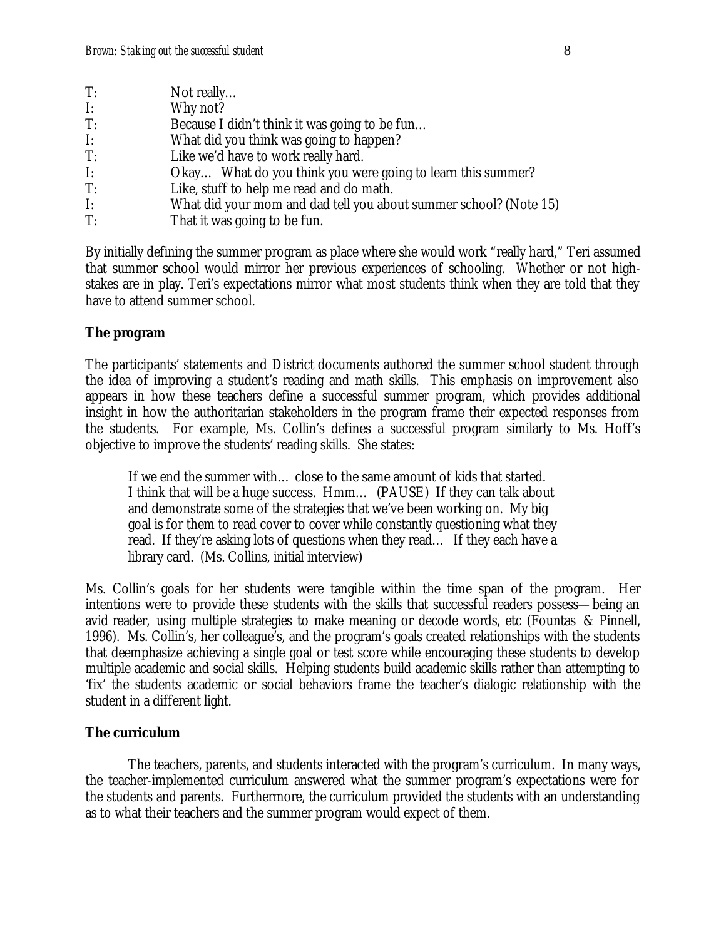| T:             | Not really                                                        |
|----------------|-------------------------------------------------------------------|
| $\mathbf{I}$ : | Why not?                                                          |
| T:             | Because I didn't think it was going to be fun                     |
| $\mathbf{I}$ : | What did you think was going to happen?                           |
| T:             | Like we'd have to work really hard.                               |
| $\mathbf{I}$ : | Okay What do you think you were going to learn this summer?       |
| T:             | Like, stuff to help me read and do math.                          |
| $\mathbf{I}$ : | What did your mom and dad tell you about summer school? (Note 15) |
| T:             | That it was going to be fun.                                      |

By initially defining the summer program as place where she would work "really hard," Teri assumed that summer school would mirror her previous experiences of schooling. Whether or not highstakes are in play. Teri's expectations mirror what most students think when they are told that they have to attend summer school.

#### **The program**

The participants' statements and District documents authored the summer school student through the idea of improving a student's reading and math skills. This emphasis on improvement also appears in how these teachers define a successful summer program, which provides additional insight in how the authoritarian stakeholders in the program frame their expected responses from the students. For example, Ms. Collin's defines a successful program similarly to Ms. Hoff's objective to improve the students' reading skills. She states:

If we end the summer with… close to the same amount of kids that started. I think that will be a huge success. Hmm… (PAUSE) If they can talk about and demonstrate some of the strategies that we've been working on. My big goal is for them to read cover to cover while constantly questioning what they read. If they're asking lots of questions when they read… If they each have a library card. (Ms. Collins, initial interview)

Ms. Collin's goals for her students were tangible within the time span of the program. Her intentions were to provide these students with the skills that successful readers possess—being an avid reader, using multiple strategies to make meaning or decode words, etc (Fountas & Pinnell, 1996). Ms. Collin's, her colleague's, and the program's goals created relationships with the students that deemphasize achieving a single goal or test score while encouraging these students to develop multiple academic and social skills. Helping students build academic skills rather than attempting to 'fix' the students academic or social behaviors frame the teacher's dialogic relationship with the student in a different light.

#### **The curriculum**

The teachers, parents, and students interacted with the program's curriculum. In many ways, the teacher-implemented curriculum answered what the summer program's expectations were for the students and parents. Furthermore, the curriculum provided the students with an understanding as to what their teachers and the summer program would expect of them.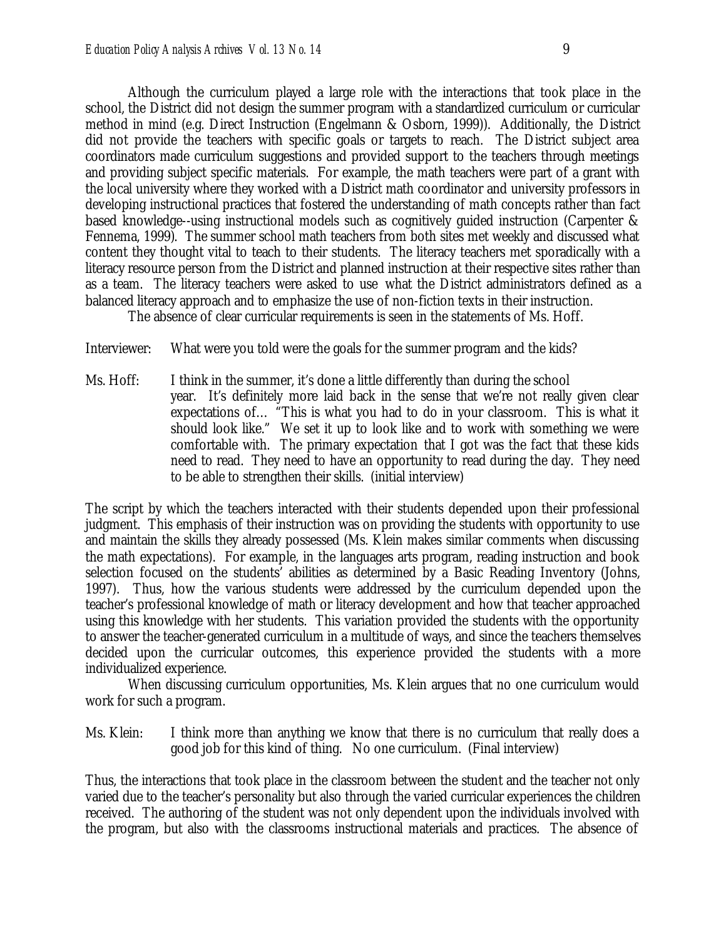Although the curriculum played a large role with the interactions that took place in the school, the District did not design the summer program with a standardized curriculum or curricular method in mind (e.g. Direct Instruction (Engelmann & Osborn, 1999)). Additionally, the District did not provide the teachers with specific goals or targets to reach. The District subject area coordinators made curriculum suggestions and provided support to the teachers through meetings and providing subject specific materials. For example, the math teachers were part of a grant with the local university where they worked with a District math coordinator and university professors in developing instructional practices that fostered the understanding of math concepts rather than fact based knowledge--using instructional models such as cognitively guided instruction (Carpenter & Fennema, 1999). The summer school math teachers from both sites met weekly and discussed what content they thought vital to teach to their students. The literacy teachers met sporadically with a literacy resource person from the District and planned instruction at their respective sites rather than as a team. The literacy teachers were asked to use what the District administrators defined as a balanced literacy approach and to emphasize the use of non-fiction texts in their instruction.

The absence of clear curricular requirements is seen in the statements of Ms. Hoff.

Interviewer: What were you told were the goals for the summer program and the kids?

Ms. Hoff: I think in the summer, it's done a little differently than during the school year. It's definitely more laid back in the sense that we're not really given clear expectations of… "This is what you had to do in your classroom. This is what it should look like." We set it up to look like and to work with something we were comfortable with. The primary expectation that I got was the fact that these kids need to read. They need to have an opportunity to read during the day. They need to be able to strengthen their skills. (initial interview)

The script by which the teachers interacted with their students depended upon their professional judgment. This emphasis of their instruction was on providing the students with opportunity to use and maintain the skills they already possessed (Ms. Klein makes similar comments when discussing the math expectations). For example, in the languages arts program, reading instruction and book selection focused on the students' abilities as determined by a Basic Reading Inventory (Johns, 1997). Thus, how the various students were addressed by the curriculum depended upon the teacher's professional knowledge of math or literacy development and how that teacher approached using this knowledge with her students. This variation provided the students with the opportunity to answer the teacher-generated curriculum in a multitude of ways, and since the teachers themselves decided upon the curricular outcomes, this experience provided the students with a more individualized experience.

When discussing curriculum opportunities, Ms. Klein argues that no one curriculum would work for such a program.

Ms. Klein: I think more than anything we know that there is no curriculum that really does a good job for this kind of thing. No one curriculum. (Final interview)

Thus, the interactions that took place in the classroom between the student and the teacher not only varied due to the teacher's personality but also through the varied curricular experiences the children received. The authoring of the student was not only dependent upon the individuals involved with the program, but also with the classrooms instructional materials and practices. The absence of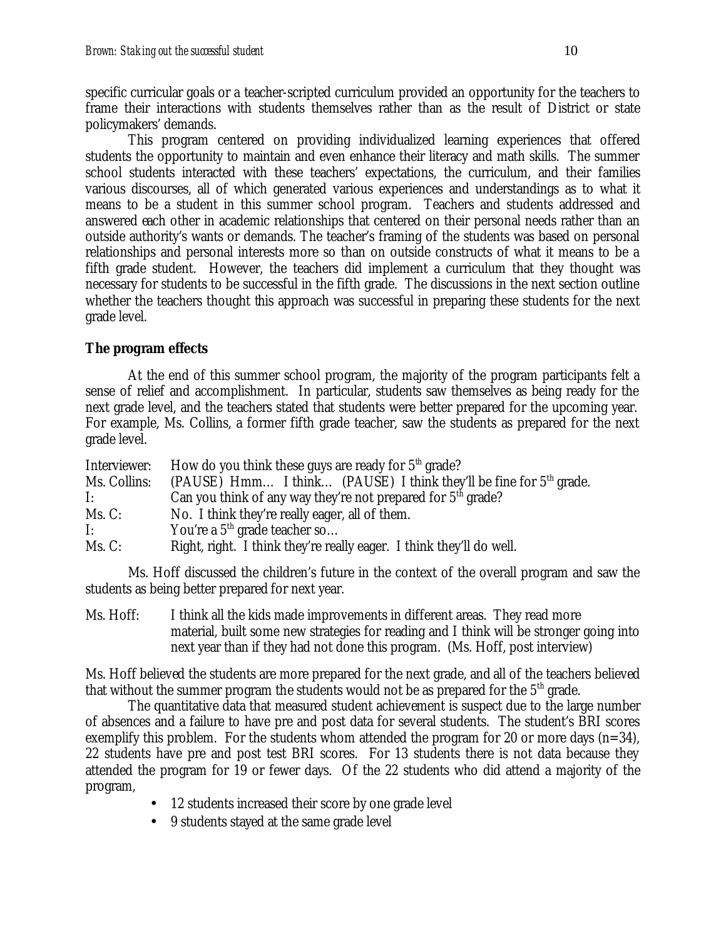specific curricular goals or a teacher-scripted curriculum provided an opportunity for the teachers to frame their interactions with students themselves rather than as the result of District or state policymakers' demands.

This program centered on providing individualized learning experiences that offered students the opportunity to maintain and even enhance their literacy and math skills. The summer school students interacted with these teachers' expectations, the curriculum, and their families various discourses, all of which generated various experiences and understandings as to what it means to be a student in this summer school program. Teachers and students addressed and answered each other in academic relationships that centered on their personal needs rather than an outside authority's wants or demands. The teacher's framing of the students was based on personal relationships and personal interests more so than on outside constructs of what it means to be a fifth grade student. However, the teachers did implement a curriculum that they thought was necessary for students to be successful in the fifth grade. The discussions in the next section outline whether the teachers thought this approach was successful in preparing these students for the next grade level.

#### **The program effects**

At the end of this summer school program, the majority of the program participants felt a sense of relief and accomplishment. In particular, students saw themselves as being ready for the next grade level, and the teachers stated that students were better prepared for the upcoming year. For example, Ms. Collins, a former fifth grade teacher, saw the students as prepared for the next grade level.

| Interviewer: | How do you think these guys are ready for $5th$ grade?               |
|--------------|----------------------------------------------------------------------|
| Ms. Collins: | (PAUSE) Hmm I think (PAUSE) I think they'll be fine for $5th$ grade. |
| I:           | Can you think of any way they're not prepared for $5th$ grade?       |
| Ms. C:       | No. I think they're really eager, all of them.                       |
| I:           | You're a $5th$ grade teacher so                                      |
| Ms. C:       | Right, right. I think they're really eager. I think they'll do well. |

Ms. Hoff discussed the children's future in the context of the overall program and saw the students as being better prepared for next year.

Ms. Hoff: I think all the kids made improvements in different areas. They read more material, built some new strategies for reading and I think will be stronger going into next year than if they had not done this program. (Ms. Hoff, post interview)

Ms. Hoff believed the students are more prepared for the next grade, and all of the teachers believed that without the summer program the students would not be as prepared for the  $5<sup>th</sup>$  grade.

The quantitative data that measured student achievement is suspect due to the large number of absences and a failure to have pre and post data for several students. The student's BRI scores exemplify this problem. For the students whom attended the program for 20 or more days  $(n=34)$ , 22 students have pre and post test BRI scores. For 13 students there is not data because they attended the program for 19 or fewer days. Of the 22 students who did attend a majority of the program,

- 12 students increased their score by one grade level
- 9 students stayed at the same grade level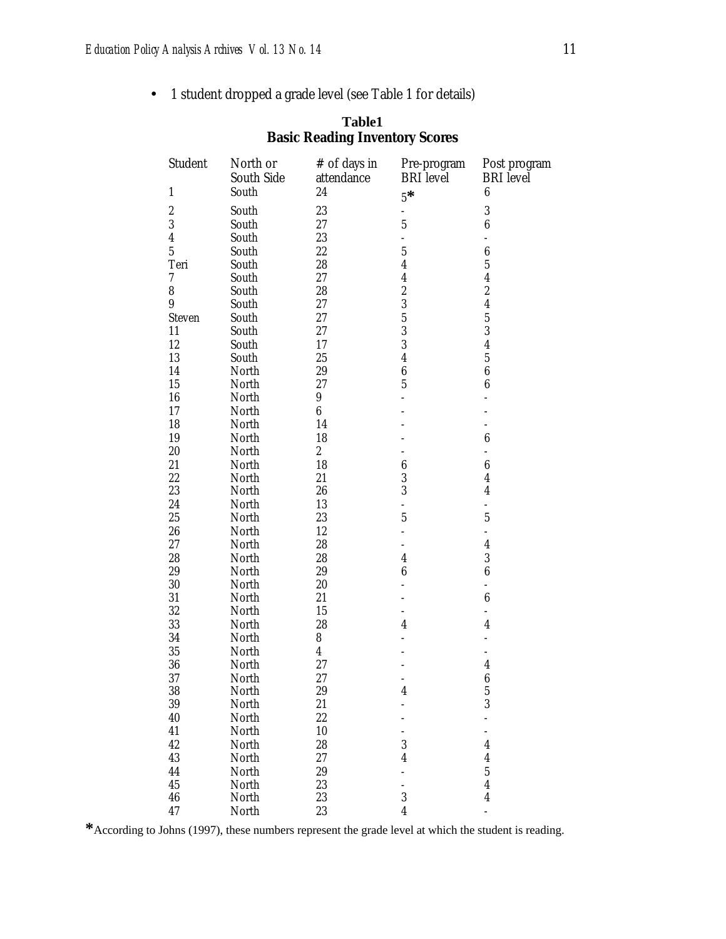• 1 student dropped a grade level (see Table 1 for details)

| Student          | North or            | # of days in            | Pre-program              | Post program                         |
|------------------|---------------------|-------------------------|--------------------------|--------------------------------------|
| $\mathbf{1}$     | South Side<br>South | attendance<br>24        | <b>BRI</b> level<br>$5*$ | <b>BRI</b> level<br>$\boldsymbol{6}$ |
| $\boldsymbol{2}$ | South               | 23                      | ÷                        | $\boldsymbol{3}$                     |
| 3                | South               | 27                      | $\overline{5}$           | $\boldsymbol{6}$                     |
| $\overline{4}$   | South               | 23                      | $\overline{a}$           | $\overline{a}$                       |
| $\overline{5}$   | South               | 22                      | $\overline{5}$           | $\boldsymbol{6}$                     |
| Teri             | South               | $\rm 28$                | $\overline{4}$           | $\overline{5}$                       |
| $\rm 7$          | South               | 27                      | $\overline{4}$           | $\overline{4}$                       |
| 8                | South               | 28                      | $\overline{c}$           | $\overline{c}$                       |
| 9                | South               | 27                      | 3                        | $\overline{4}$                       |
| <b>Steven</b>    | South               | 27                      | $\overline{5}$           | $\overline{5}$                       |
| 11               | South               | 27                      | 3                        | 3                                    |
| 12               | South               | 17                      | 3                        | $\overline{4}$                       |
| 13               | South               | 25                      | $\overline{4}$           | $\overline{5}$                       |
| 14               | North               | 29                      | $\boldsymbol{6}$         | $\boldsymbol{6}$                     |
| 15               |                     | 27                      | $\overline{5}$           | $\boldsymbol{6}$                     |
| 16               | North               | $9\phantom{.0}$         |                          |                                      |
|                  | North               |                         |                          |                                      |
| 17               | North               | $\boldsymbol{6}$        |                          |                                      |
| 18               | North               | 14                      |                          |                                      |
| 19               | North               | 18                      |                          | $\boldsymbol{6}$                     |
| $20\,$           | North               | $\boldsymbol{2}$        |                          | $\overline{a}$                       |
| 21               | North               | 18                      | $\boldsymbol{6}$         | $\boldsymbol{6}$                     |
| 22               | North               | 21                      | 3                        | $\overline{4}$                       |
| 23               | North               | 26                      | 3                        | $\overline{4}$                       |
| 24               | North               | 13                      | ÷,                       |                                      |
| 25               | North               | 23                      | $\overline{5}$           | $\overline{5}$                       |
| 26               | North               | 12                      | $\overline{a}$           | $\overline{a}$                       |
| 27               | North               | 28                      |                          | $\overline{4}$                       |
| 28               | North               | 28                      | $\overline{4}$           | 3                                    |
| 29               | North               | 29                      | $\boldsymbol{6}$         | $\boldsymbol{6}$                     |
| 30               | North               | $20\,$                  |                          | $\overline{a}$                       |
| 31               | North               | 21                      |                          | $\boldsymbol{6}$                     |
| 32               | North               | 15                      |                          | $\overline{a}$                       |
| 33               | North               | 28                      | $\overline{4}$           | $\overline{4}$                       |
| 34               | North               | 8                       |                          |                                      |
| 35               | North               | $\overline{\mathbf{4}}$ |                          |                                      |
| 36               | North               | 27                      |                          | $\overline{4}$                       |
| 37               | North               | 27                      |                          | $\boldsymbol{6}$                     |
| 38               | North               | 29                      | $\pmb{4}$                | $\bf 5$                              |
| 39               | North               | 21                      |                          | 3                                    |
| 40               | North               | $22\,$                  |                          |                                      |
| 41               | North               | 10                      |                          | $\overline{a}$                       |
| 42               | North               | 28                      | $\boldsymbol{3}$         | $\pmb{4}$                            |
| 43               | North               | $27\,$                  | $\overline{4}$           | $\boldsymbol{4}$                     |
| 44               | North               | 29                      |                          | $\bf 5$                              |
| 45               |                     | 23                      |                          | $\overline{4}$                       |
|                  | North               |                         |                          |                                      |
| 46               | North               | 23                      | $\boldsymbol{3}$         | $\pmb{4}$                            |
| 47               | North               | 23                      | $\overline{4}$           | $\overline{a}$                       |

#### **Table1 Basic Reading Inventory Scores**

**\***According to Johns (1997), these numbers represent the grade level at which the student is reading.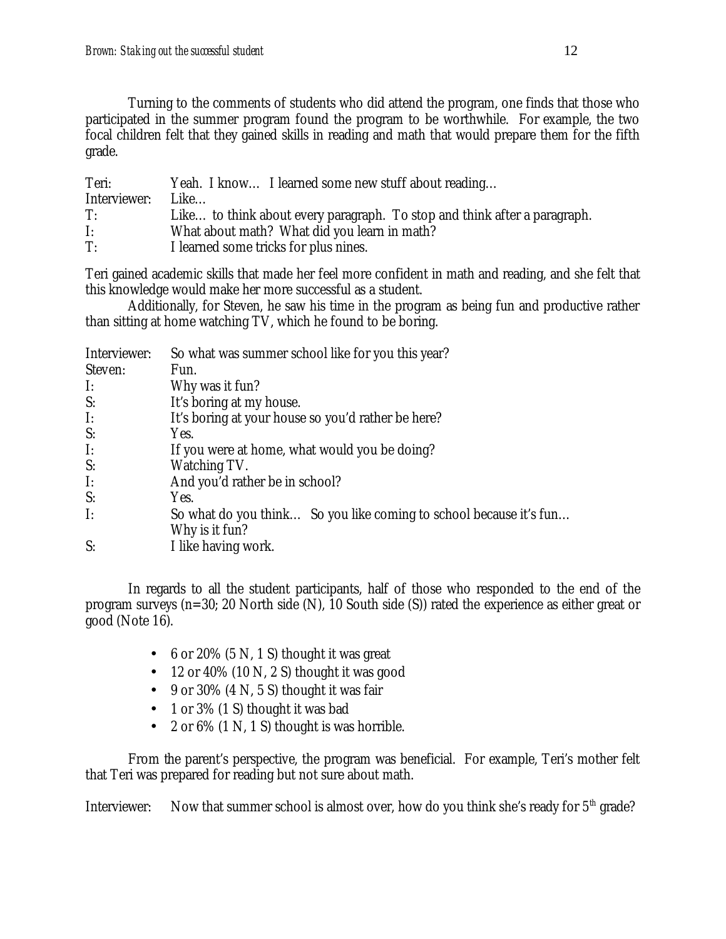Turning to the comments of students who did attend the program, one finds that those who participated in the summer program found the program to be worthwhile. For example, the two focal children felt that they gained skills in reading and math that would prepare them for the fifth grade.

| Teri:        | Yeah. I know I learned some new stuff about reading                       |
|--------------|---------------------------------------------------------------------------|
| Interviewer: | Like                                                                      |
| T:           | Like to think about every paragraph. To stop and think after a paragraph. |
| I:           | What about math? What did you learn in math?                              |
| T:           | I learned some tricks for plus nines.                                     |

Teri gained academic skills that made her feel more confident in math and reading, and she felt that this knowledge would make her more successful as a student.

Additionally, for Steven, he saw his time in the program as being fun and productive rather than sitting at home watching TV, which he found to be boring.

| Interviewer:   | So what was summer school like for you this year?                  |
|----------------|--------------------------------------------------------------------|
| Steven:        | Fun.                                                               |
| $\mathbf{I}$ : | Why was it fun?                                                    |
| S:             | It's boring at my house.                                           |
| $\mathbf{I}$ : | It's boring at your house so you'd rather be here?                 |
| S:             | Yes.                                                               |
| $\mathbf{I}$ : | If you were at home, what would you be doing?                      |
| S:             | Watching TV.                                                       |
| $\mathbf{I:}$  | And you'd rather be in school?                                     |
| S:             | Yes.                                                               |
| $\mathbf{I}$ : | So what do you think So you like coming to school because it's fun |
|                | Why is it fun?                                                     |
| S:             | I like having work.                                                |

In regards to all the student participants, half of those who responded to the end of the program surveys (n=30; 20 North side (N), 10 South side (S)) rated the experience as either great or good (Note 16).

- 6 or 20%  $(5 N, 1 S)$  thought it was great
- 12 or 40% (10 N, 2 S) thought it was good
- 9 or 30% (4 N, 5 S) thought it was fair
- 1 or 3% (1 S) thought it was bad
- 2 or  $6\%$  (1 N, 1 S) thought is was horrible.

From the parent's perspective, the program was beneficial. For example, Teri's mother felt that Teri was prepared for reading but not sure about math.

Interviewer: Now that summer school is almost over, how do you think she's ready for  $5<sup>th</sup>$  grade?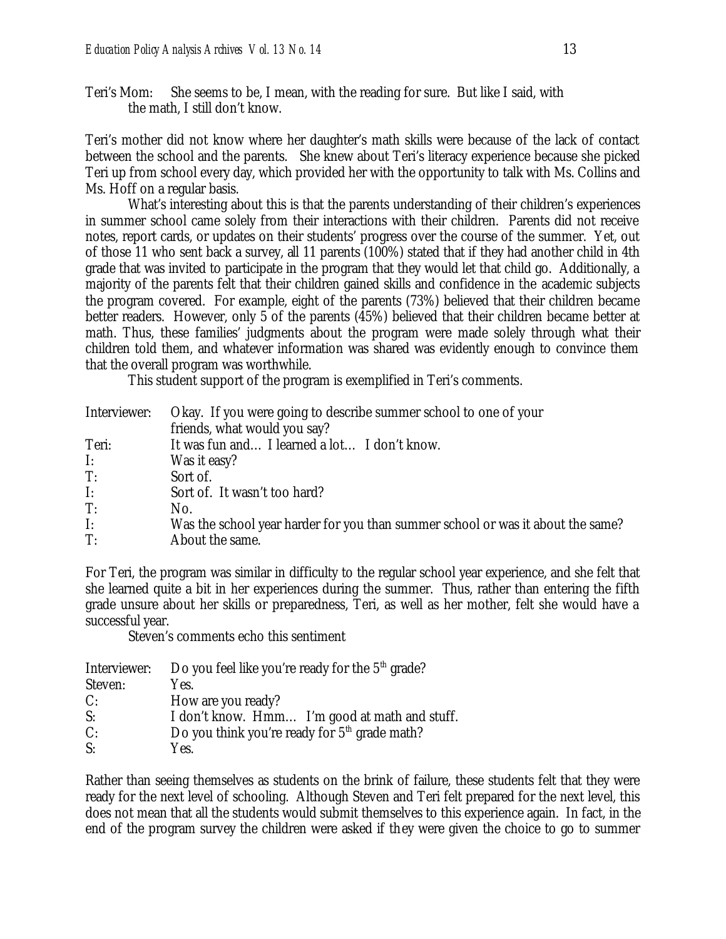Teri's Mom: She seems to be, I mean, with the reading for sure. But like I said, with the math, I still don't know.

Teri's mother did not know where her daughter's math skills were because of the lack of contact between the school and the parents. She knew about Teri's literacy experience because she picked Teri up from school every day, which provided her with the opportunity to talk with Ms. Collins and Ms. Hoff on a regular basis.

What's interesting about this is that the parents understanding of their children's experiences in summer school came solely from their interactions with their children. Parents did not receive notes, report cards, or updates on their students' progress over the course of the summer. Yet, out of those 11 who sent back a survey, all 11 parents (100%) stated that if they had another child in 4th grade that was invited to participate in the program that they would let that child go. Additionally, a majority of the parents felt that their children gained skills and confidence in the academic subjects the program covered. For example, eight of the parents (73%) believed that their children became better readers. However, only 5 of the parents (45%) believed that their children became better at math. Thus, these families' judgments about the program were made solely through what their children told them, and whatever information was shared was evidently enough to convince them that the overall program was worthwhile.

This student support of the program is exemplified in Teri's comments.

| Interviewer:   | Okay. If you were going to describe summer school to one of your                |
|----------------|---------------------------------------------------------------------------------|
|                | friends, what would you say?                                                    |
| Teri:          | It was fun and I learned a lot I don't know.                                    |
| I:             | Was it easy?                                                                    |
| T:             | Sort of.                                                                        |
| $\mathbf{I}$ : | Sort of. It wasn't too hard?                                                    |
| T:             | No.                                                                             |
| $\mathbf{I}$ : | Was the school year harder for you than summer school or was it about the same? |
| T:             | About the same.                                                                 |

For Teri, the program was similar in difficulty to the regular school year experience, and she felt that she learned quite a bit in her experiences during the summer. Thus, rather than entering the fifth grade unsure about her skills or preparedness, Teri, as well as her mother, felt she would have a successful year.

Steven's comments echo this sentiment

| Interviewer: | Do you feel like you're ready for the $5th$ grade? |
|--------------|----------------------------------------------------|
| Steven:      | Yes.                                               |
| C:           | How are you ready?                                 |
| S:           | I don't know. Hmm I'm good at math and stuff.      |
| C:           | Do you think you're ready for $5th$ grade math?    |
| S:           | Yes.                                               |

Rather than seeing themselves as students on the brink of failure, these students felt that they were ready for the next level of schooling. Although Steven and Teri felt prepared for the next level, this does not mean that all the students would submit themselves to this experience again. In fact, in the end of the program survey the children were asked if they were given the choice to go to summer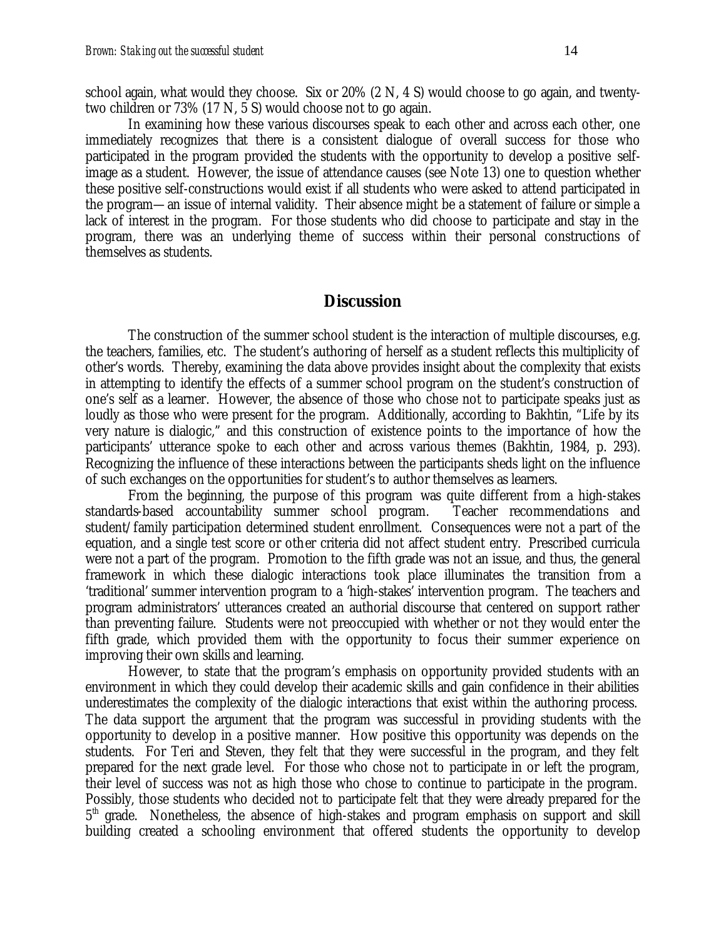school again, what would they choose. Six or 20% (2 N, 4 S) would choose to go again, and twentytwo children or 73% (17 N, 5 S) would choose not to go again.

In examining how these various discourses speak to each other and across each other, one immediately recognizes that there is a consistent dialogue of overall success for those who participated in the program provided the students with the opportunity to develop a positive selfimage as a student. However, the issue of attendance causes (see Note 13) one to question whether these positive self-constructions would exist if all students who were asked to attend participated in the program—an issue of internal validity. Their absence might be a statement of failure or simple a lack of interest in the program. For those students who did choose to participate and stay in the program, there was an underlying theme of success within their personal constructions of themselves as students.

#### **Discussion**

The construction of the summer school student is the interaction of multiple discourses, e.g. the teachers, families, etc. The student's authoring of herself as a student reflects this multiplicity of other's words. Thereby, examining the data above provides insight about the complexity that exists in attempting to identify the effects of a summer school program on the student's construction of one's self as a learner. However, the absence of those who chose not to participate speaks just as loudly as those who were present for the program. Additionally, according to Bakhtin, "Life by its very nature is dialogic," and this construction of existence points to the importance of how the participants' utterance spoke to each other and across various themes (Bakhtin, 1984, p. 293). Recognizing the influence of these interactions between the participants sheds light on the influence of such exchanges on the opportunities for student's to author themselves as learners.

From the beginning, the purpose of this program was quite different from a high-stakes standards-based accountability summer school program. Teacher recommendations and student/family participation determined student enrollment. Consequences were not a part of the equation, and a single test score or other criteria did not affect student entry. Prescribed curricula were not a part of the program. Promotion to the fifth grade was not an issue, and thus, the general framework in which these dialogic interactions took place illuminates the transition from a 'traditional' summer intervention program to a 'high-stakes' intervention program. The teachers and program administrators' utterances created an authorial discourse that centered on support rather than preventing failure. Students were not preoccupied with whether or not they would enter the fifth grade, which provided them with the opportunity to focus their summer experience on improving their own skills and learning.

However, to state that the program's emphasis on opportunity provided students with an environment in which they could develop their academic skills and gain confidence in their abilities underestimates the complexity of the dialogic interactions that exist within the authoring process. The data support the argument that the program was successful in providing students with the opportunity to develop in a positive manner. How positive this opportunity was depends on the students. For Teri and Steven, they felt that they were successful in the program, and they felt prepared for the next grade level. For those who chose not to participate in or left the program, their level of success was not as high those who chose to continue to participate in the program. Possibly, those students who decided not to participate felt that they were already prepared for the 5<sup>th</sup> grade. Nonetheless, the absence of high-stakes and program emphasis on support and skill building created a schooling environment that offered students the opportunity to develop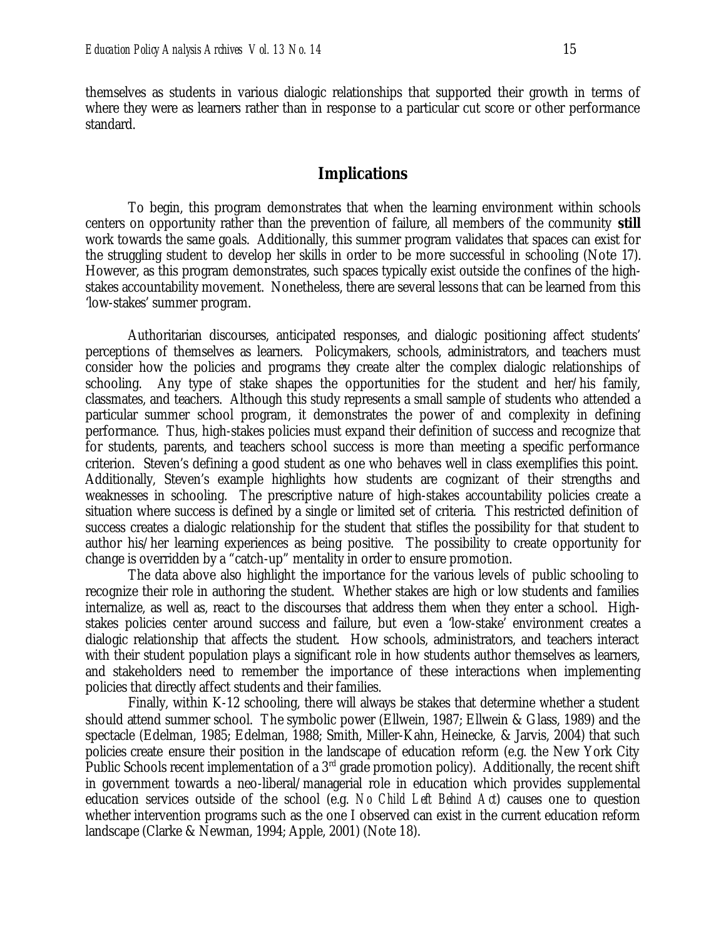themselves as students in various dialogic relationships that supported their growth in terms of where they were as learners rather than in response to a particular cut score or other performance standard.

#### **Implications**

To begin, this program demonstrates that when the learning environment within schools centers on opportunity rather than the prevention of failure, all members of the community **still** work towards the same goals. Additionally, this summer program validates that spaces can exist for the struggling student to develop her skills in order to be more successful in schooling (Note 17). However, as this program demonstrates, such spaces typically exist outside the confines of the highstakes accountability movement. Nonetheless, there are several lessons that can be learned from this 'low-stakes' summer program.

Authoritarian discourses, anticipated responses, and dialogic positioning affect students' perceptions of themselves as learners. Policymakers, schools, administrators, and teachers must consider how the policies and programs they create alter the complex dialogic relationships of schooling. Any type of stake shapes the opportunities for the student and her/his family, classmates, and teachers. Although this study represents a small sample of students who attended a particular summer school program, it demonstrates the power of and complexity in defining performance. Thus, high-stakes policies must expand their definition of success and recognize that for students, parents, and teachers school success is more than meeting a specific performance criterion. Steven's defining a good student as one who behaves well in class exemplifies this point. Additionally, Steven's example highlights how students are cognizant of their strengths and weaknesses in schooling. The prescriptive nature of high-stakes accountability policies create a situation where success is defined by a single or limited set of criteria. This restricted definition of success creates a dialogic relationship for the student that stifles the possibility for that student to author his/her learning experiences as being positive. The possibility to create opportunity for change is overridden by a "catch-up" mentality in order to ensure promotion.

The data above also highlight the importance for the various levels of public schooling to recognize their role in authoring the student. Whether stakes are high or low students and families internalize, as well as, react to the discourses that address them when they enter a school. Highstakes policies center around success and failure, but even a 'low-stake' environment creates a dialogic relationship that affects the student. How schools, administrators, and teachers interact with their student population plays a significant role in how students author themselves as learners, and stakeholders need to remember the importance of these interactions when implementing policies that directly affect students and their families.

Finally, within K-12 schooling, there will always be stakes that determine whether a student should attend summer school. The symbolic power (Ellwein, 1987; Ellwein & Glass, 1989) and the spectacle (Edelman, 1985; Edelman, 1988; Smith, Miller-Kahn, Heinecke, & Jarvis, 2004) that such policies create ensure their position in the landscape of education reform (e.g. the New York City Public Schools recent implementation of a  $3<sup>rd</sup>$  grade promotion policy). Additionally, the recent shift in government towards a neo-liberal/managerial role in education which provides supplemental education services outside of the school (e.g. *No Child Left Behind Act*) causes one to question whether intervention programs such as the one I observed can exist in the current education reform landscape (Clarke & Newman, 1994; Apple, 2001) (Note 18).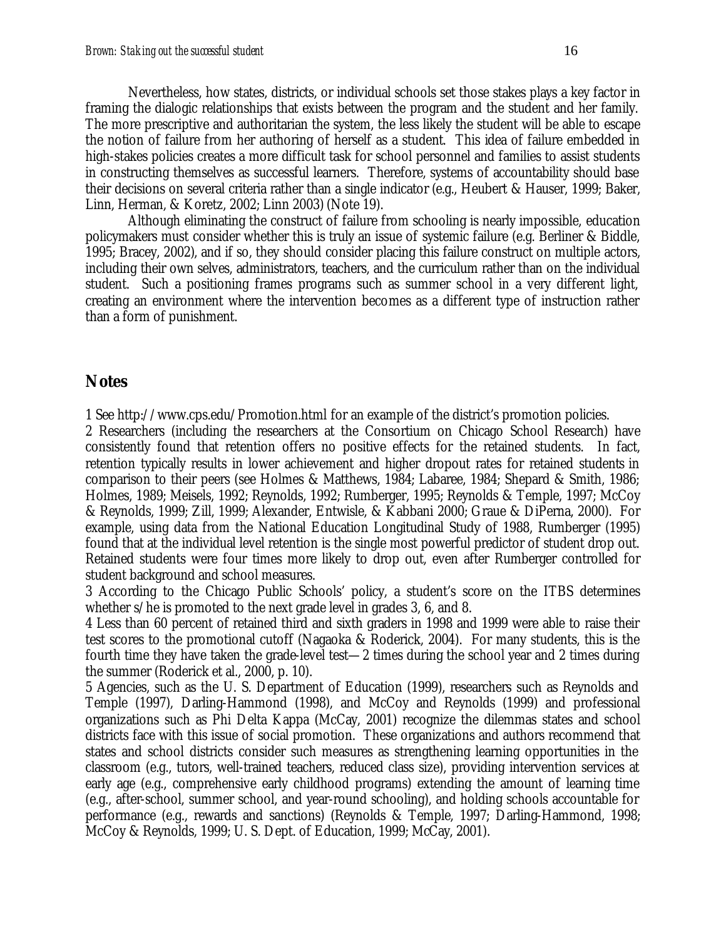Nevertheless, how states, districts, or individual schools set those stakes plays a key factor in framing the dialogic relationships that exists between the program and the student and her family. The more prescriptive and authoritarian the system, the less likely the student will be able to escape the notion of failure from her authoring of herself as a student. This idea of failure embedded in high-stakes policies creates a more difficult task for school personnel and families to assist students in constructing themselves as successful learners. Therefore, systems of accountability should base their decisions on several criteria rather than a single indicator (e.g., Heubert & Hauser, 1999; Baker, Linn, Herman, & Koretz, 2002; Linn 2003) (Note 19).

Although eliminating the construct of failure from schooling is nearly impossible, education policymakers must consider whether this is truly an issue of systemic failure (e.g. Berliner & Biddle, 1995; Bracey, 2002), and if so, they should consider placing this failure construct on multiple actors, including their own selves, administrators, teachers, and the curriculum rather than on the individual student. Such a positioning frames programs such as summer school in a very different light, creating an environment where the intervention becomes as a different type of instruction rather than a form of punishment.

#### **Notes**

1 See http://www.cps.edu/Promotion.html for an example of the district's promotion policies.

2 Researchers (including the researchers at the Consortium on Chicago School Research) have consistently found that retention offers no positive effects for the retained students. In fact, retention typically results in lower achievement and higher dropout rates for retained students in comparison to their peers (see Holmes & Matthews, 1984; Labaree, 1984; Shepard & Smith, 1986; Holmes, 1989; Meisels, 1992; Reynolds, 1992; Rumberger, 1995; Reynolds & Temple, 1997; McCoy & Reynolds, 1999; Zill, 1999; Alexander, Entwisle, & Kabbani 2000; Graue & DiPerna, 2000). For example, using data from the National Education Longitudinal Study of 1988, Rumberger (1995) found that at the individual level retention is the single most powerful predictor of student drop out. Retained students were four times more likely to drop out, even after Rumberger controlled for student background and school measures.

3 According to the Chicago Public Schools' policy, a student's score on the ITBS determines whether s/he is promoted to the next grade level in grades 3, 6, and 8.

4 Less than 60 percent of retained third and sixth graders in 1998 and 1999 were able to raise their test scores to the promotional cutoff (Nagaoka & Roderick, 2004). For many students, this is the fourth time they have taken the grade-level test—2 times during the school year and 2 times during the summer (Roderick et al., 2000, p. 10).

5 Agencies, such as the U. S. Department of Education (1999), researchers such as Reynolds and Temple (1997), Darling-Hammond (1998), and McCoy and Reynolds (1999) and professional organizations such as Phi Delta Kappa (McCay, 2001) recognize the dilemmas states and school districts face with this issue of social promotion. These organizations and authors recommend that states and school districts consider such measures as strengthening learning opportunities in the classroom (e.g., tutors, well-trained teachers, reduced class size), providing intervention services at early age (e.g., comprehensive early childhood programs) extending the amount of learning time (e.g., after-school, summer school, and year-round schooling), and holding schools accountable for performance (e.g., rewards and sanctions) (Reynolds & Temple, 1997; Darling-Hammond, 1998; McCoy & Reynolds, 1999; U. S. Dept. of Education, 1999; McCay, 2001).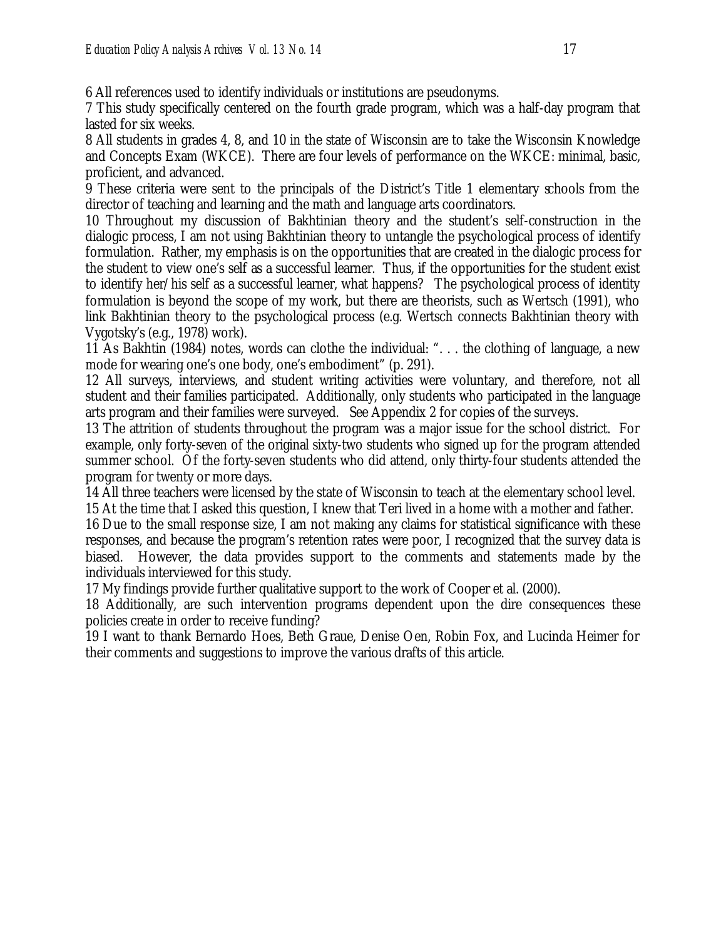6 All references used to identify individuals or institutions are pseudonyms.

7 This study specifically centered on the fourth grade program, which was a half-day program that lasted for six weeks.

8 All students in grades 4, 8, and 10 in the state of Wisconsin are to take the Wisconsin Knowledge and Concepts Exam (WKCE). There are four levels of performance on the WKCE: minimal, basic, proficient, and advanced.

9 These criteria were sent to the principals of the District's Title 1 elementary schools from the director of teaching and learning and the math and language arts coordinators.

10 Throughout my discussion of Bakhtinian theory and the student's self-construction in the dialogic process, I am not using Bakhtinian theory to untangle the psychological process of identify formulation. Rather, my emphasis is on the opportunities that are created in the dialogic process for the student to view one's self as a successful learner. Thus, if the opportunities for the student exist to identify her/his self as a successful learner, what happens? The psychological process of identity formulation is beyond the scope of my work, but there are theorists, such as Wertsch (1991), who link Bakhtinian theory to the psychological process (e.g. Wertsch connects Bakhtinian theory with Vygotsky's (e.g., 1978) work).

11 As Bakhtin (1984) notes, words can clothe the individual: ". . . the clothing of language, a new mode for wearing one's one body, one's embodiment" (p. 291).

12 All surveys, interviews, and student writing activities were voluntary, and therefore, not all student and their families participated. Additionally, only students who participated in the language arts program and their families were surveyed. See Appendix 2 for copies of the surveys.

13 The attrition of students throughout the program was a major issue for the school district. For example, only forty-seven of the original sixty-two students who signed up for the program attended summer school. Of the forty-seven students who did attend, only thirty-four students attended the program for twenty or more days.

14 All three teachers were licensed by the state of Wisconsin to teach at the elementary school level. 15 At the time that I asked this question, I knew that Teri lived in a home with a mother and father.

16 Due to the small response size, I am not making any claims for statistical significance with these responses, and because the program's retention rates were poor, I recognized that the survey data is biased. However, the data provides support to the comments and statements made by the individuals interviewed for this study.

17 My findings provide further qualitative support to the work of Cooper et al. (2000).

18 Additionally, are such intervention programs dependent upon the dire consequences these policies create in order to receive funding?

19 I want to thank Bernardo Hoes, Beth Graue, Denise Oen, Robin Fox, and Lucinda Heimer for their comments and suggestions to improve the various drafts of this article.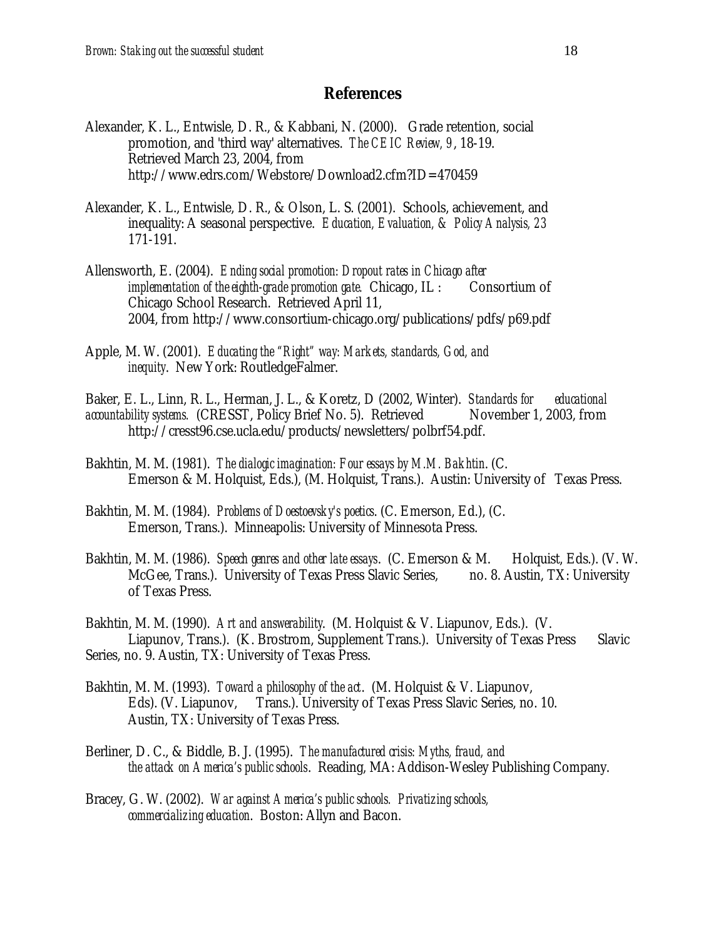#### **References**

- Alexander, K. L., Entwisle, D. R., & Kabbani, N. (2000). Grade retention, social promotion, and 'third way' alternatives. *The CEIC Review, 9*, 18-19. Retrieved March 23, 2004, from http://www.edrs.com/Webstore/Download2.cfm?ID=470459
- Alexander, K. L., Entwisle, D. R., & Olson, L. S. (2001). Schools, achievement, and inequality: A seasonal perspective. *Education, Evaluation, & Policy Analysis, 23* 171-191.
- Allensworth, E. (2004). *Ending social promotion: Dropout rates in Chicago after implementation of the eighth-grade promotion gate.* Chicago, IL : Consortium of Chicago School Research. Retrieved April 11, 2004, from http://www.consortium-chicago.org/publications/pdfs/p69.pdf
- Apple, M. W. (2001). *Educating the "Right" way: Markets, standards, God, and inequity*. New York: RoutledgeFalmer.

Baker, E. L., Linn, R. L., Herman, J. L., & Koretz, D (2002, Winter). *Standards for educational accountability systems.* (CRESST, Policy Brief No. 5). Retrieved November 1, 2003, from http://cresst96.cse.ucla.edu/products/newsletters/polbrf54.pdf.

- Bakhtin, M. M. (1981). *The dialogic imagination: Four essays by M.M. Bakhtin*. (C. Emerson & M. Holquist, Eds.), (M. Holquist, Trans.). Austin: University of Texas Press.
- Bakhtin, M. M. (1984). *Problems of Doestoevsky's poetics*. (C. Emerson, Ed.), (C. Emerson, Trans.). Minneapolis: University of Minnesota Press.
- Bakhtin, M. M. (1986). *Speech genres and other late essays*. (C. Emerson & M. Holquist, Eds.). (V. W. McGee, Trans.). University of Texas Press Slavic Series, no. 8. Austin, TX: University of Texas Press.

Bakhtin, M. M. (1990). *Art and answerability*. (M. Holquist & V. Liapunov, Eds.). (V. Liapunov, Trans.). (K. Brostrom, Supplement Trans.). University of Texas Press Slavic Series, no. 9. Austin, TX: University of Texas Press.

- Bakhtin, M. M. (1993). *Toward a philosophy of the act*. (M. Holquist & V. Liapunov, Eds). (V. Liapunov, Trans.). University of Texas Press Slavic Series, no. 10. Austin, TX: University of Texas Press.
- Berliner, D. C., & Biddle, B. J. (1995). *The manufactured crisis: Myths, fraud, and the attack on America's public schools*. Reading, MA: Addison-Wesley Publishing Company.
- Bracey, G. W. (2002). *War against America's public schools. Privatizing schools, commercializing education*. Boston: Allyn and Bacon.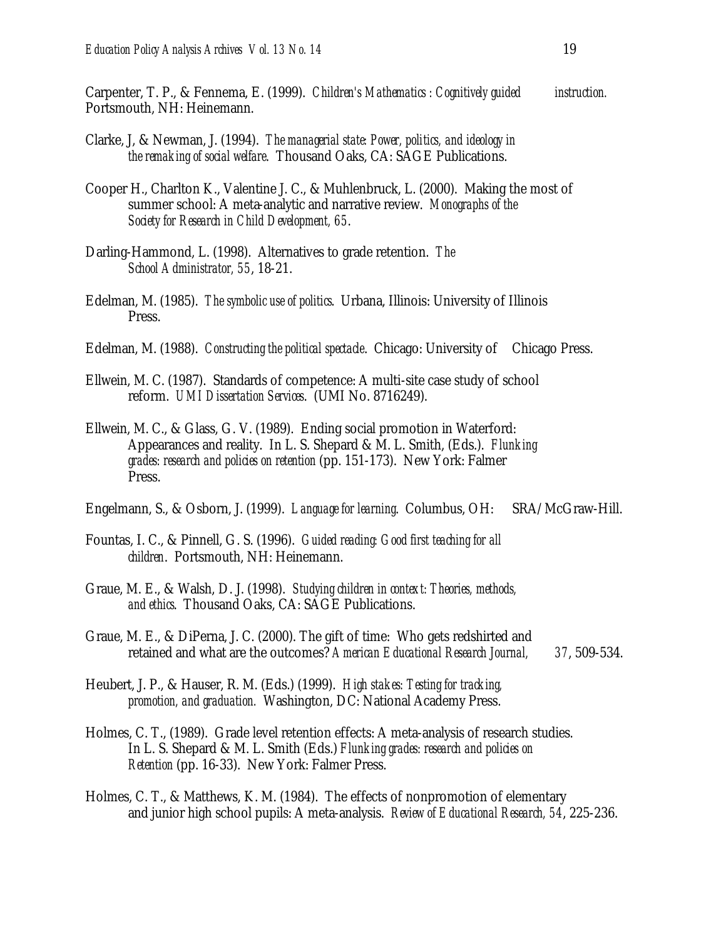Carpenter, T. P., & Fennema, E. (1999). *Children's Mathematics : Cognitively guided instruction.*  Portsmouth, NH: Heinemann.

- Clarke, J, & Newman, J. (1994). *The managerial state: Power, politics, and ideology in the remaking of social welfare*. Thousand Oaks, CA: SAGE Publications.
- Cooper H., Charlton K., Valentine J. C., & Muhlenbruck, L. (2000). Making the most of summer school: A meta-analytic and narrative review. *Monographs of the Society for Research in Child Development, 65*.
- Darling-Hammond, L. (1998). Alternatives to grade retention. *The School Administrator, 55*, 18-21.
- Edelman, M. (1985). *The symbolic use of politics*. Urbana, Illinois: University of Illinois Press.
- Edelman, M. (1988). *Constructing the political spectacle*. Chicago: University of Chicago Press.
- Ellwein, M. C. (1987). Standards of competence: A multi-site case study of school reform. *UMI Dissertation Services*. (UMI No. 8716249).
- Ellwein, M. C., & Glass, G. V. (1989). Ending social promotion in Waterford: Appearances and reality. In L. S. Shepard & M. L. Smith, (Eds.). *Flunking grades: research and policies on retention* (pp. 151-173). New York: Falmer Press.

Engelmann, S., & Osborn, J. (1999). *Language for learning*. Columbus, OH: SRA/McGraw-Hill.

- Fountas, I. C., & Pinnell, G. S. (1996). *Guided reading: Good first teaching for all children*. Portsmouth, NH: Heinemann.
- Graue, M. E., & Walsh, D. J. (1998). *Studying children in context: Theories, methods, and ethics*. Thousand Oaks, CA: SAGE Publications.
- Graue, M. E., & DiPerna, J. C. (2000). The gift of time: Who gets redshirted and retained and what are the outcomes? *American Educational Research Journal, 37*, 509-534.
- Heubert, J. P., & Hauser, R. M. (Eds.) (1999). *High stakes: Testing for tracking, promotion, and graduation.* Washington, DC: National Academy Press.
- Holmes, C. T., (1989). Grade level retention effects: A meta-analysis of research studies. In L. S. Shepard & M. L. Smith (Eds.) *Flunking grades: research and policies on Retention* (pp. 16-33). New York: Falmer Press.
- Holmes, C. T., & Matthews, K. M. (1984). The effects of nonpromotion of elementary and junior high school pupils: A meta-analysis. *Review of Educational Research, 54*, 225-236.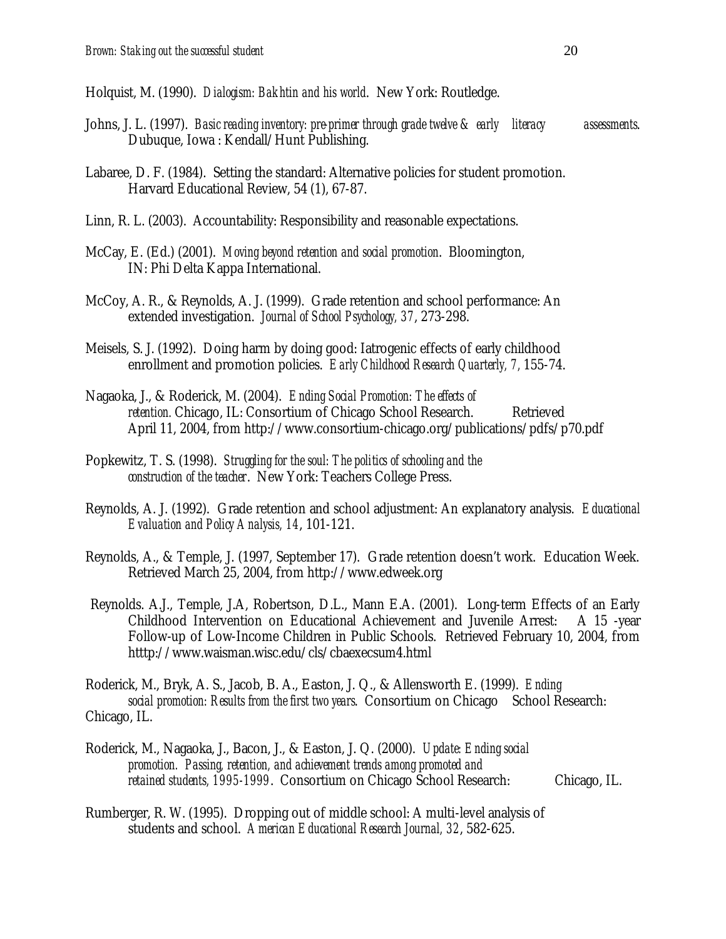Holquist, M. (1990). *Dialogism: Bakhtin and his world*. New York: Routledge.

- Johns, J. L. (1997). *Basic reading inventory: pre-primer through grade twelve & early literacy assessments*. Dubuque, Iowa : Kendall/Hunt Publishing.
- Labaree, D. F. (1984). Setting the standard: Alternative policies for student promotion. Harvard Educational Review, 54 (1), 67-87.
- Linn, R. L. (2003). Accountability: Responsibility and reasonable expectations.
- McCay, E. (Ed.) (2001). *Moving beyond retention and social promotion*. Bloomington, IN: Phi Delta Kappa International.
- McCoy, A. R., & Reynolds, A. J. (1999). Grade retention and school performance: An extended investigation. *Journal of School Psychology, 37*, 273-298.
- Meisels, S. J. (1992). Doing harm by doing good: Iatrogenic effects of early childhood enrollment and promotion policies. *Early Childhood Research Quarterly, 7,* 155-74.
- Nagaoka, J., & Roderick, M. (2004). *Ending Social Promotion: The effects of retention.* Chicago, IL: Consortium of Chicago School Research. Retrieved April 11, 2004, from http://www.consortium-chicago.org/publications/pdfs/p70.pdf
- Popkewitz, T. S. (1998). *Struggling for the soul: The politics of schooling and the construction of the teacher*. New York: Teachers College Press.
- Reynolds, A. J. (1992). Grade retention and school adjustment: An explanatory analysis. *Educational Evaluation and Policy Analysis, 14*, 101-121.
- Reynolds, A., & Temple, J. (1997, September 17). Grade retention doesn't work. Education Week. Retrieved March 25, 2004, from http://www.edweek.org
- Reynolds. A.J., Temple, J.A, Robertson, D.L., Mann E.A. (2001). Long-term Effects of an Early Childhood Intervention on Educational Achievement and Juvenile Arrest: A 15 -year Follow-up of Low-Income Children in Public Schools. Retrieved February 10, 2004, from htttp://www.waisman.wisc.edu/cls/cbaexecsum4.html

Roderick, M., Bryk, A. S., Jacob, B. A., Easton, J. Q., & Allensworth E. (1999). *Ending social promotion: Results from the first two years.* Consortium on Chicago School Research: Chicago, IL.

- Roderick, M., Nagaoka, J., Bacon, J., & Easton, J. Q. (2000). *Update: Ending social promotion. Passing, retention, and achievement trends among promoted and retained students, 1995-1999*. Consortium on Chicago School Research: Chicago, IL.
- Rumberger, R. W. (1995). Dropping out of middle school: A multi-level analysis of students and school. *American Educational Research Journal, 32*, 582-625.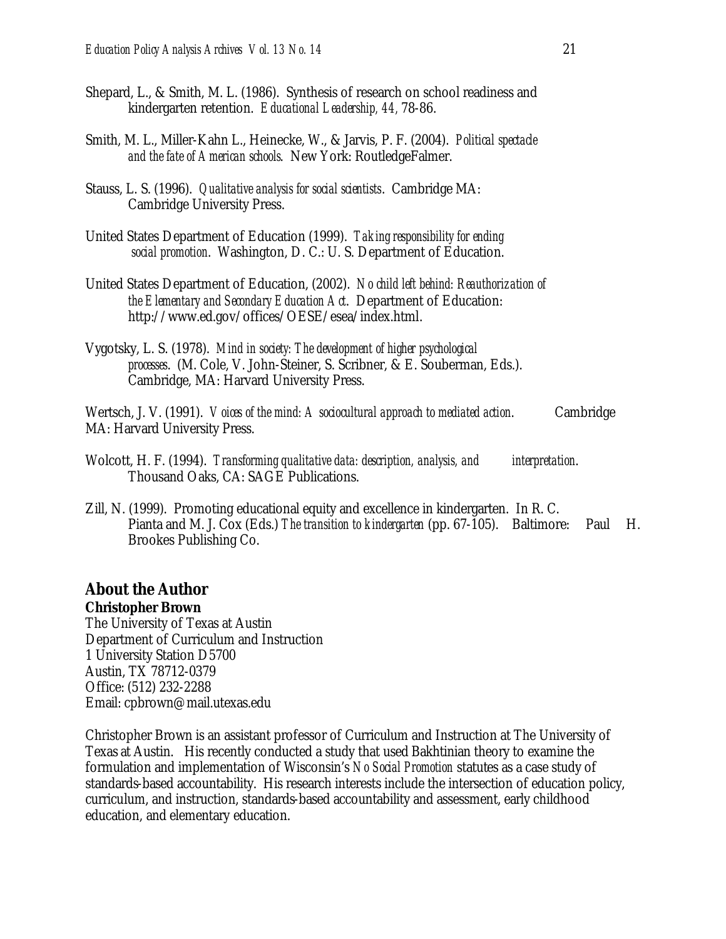- Shepard, L., & Smith, M. L. (1986). Synthesis of research on school readiness and kindergarten retention. *Educational Leadership, 44,* 78-86.
- Smith, M. L., Miller-Kahn L., Heinecke, W., & Jarvis, P. F. (2004). *Political spectacle and the fate of American schools*. New York: RoutledgeFalmer.
- Stauss, L. S. (1996). *Qualitative analysis for social scientists*. Cambridge MA: Cambridge University Press.
- United States Department of Education (1999). *Taking responsibility for ending social promotion*. Washington, D. C.: U. S. Department of Education.
- United States Department of Education, (2002). *No child left behind: Reauthorization of the Elementary and Secondary Education Act*. Department of Education: http://www.ed.gov/offices/OESE/esea/index.html.
- Vygotsky, L. S. (1978). *Mind in society: The development of higher psychological processes*. (M. Cole, V. John-Steiner, S. Scribner, & E. Souberman, Eds.). Cambridge, MA: Harvard University Press.

Wertsch, J. V. (1991). *Voices of the mind: A sociocultural approach to mediated action*. Cambridge MA: Harvard University Press.

- Wolcott, H. F. (1994). *Transforming qualitative data: description, analysis, and interpretation*. Thousand Oaks, CA: SAGE Publications.
- Zill, N. (1999). Promoting educational equity and excellence in kindergarten. In R. C. Pianta and M. J. Cox (Eds.) *The transition to kindergarten* (pp. 67-105). Baltimore: Paul H. Brookes Publishing Co.

### **About the Author**

#### **Christopher Brown**

The University of Texas at Austin Department of Curriculum and Instruction 1 University Station D5700 Austin, TX 78712-0379 Office: (512) 232-2288 Email: cpbrown@mail.utexas.edu

Christopher Brown is an assistant professor of Curriculum and Instruction at The University of Texas at Austin. His recently conducted a study that used Bakhtinian theory to examine the formulation and implementation of Wisconsin's *No Social Promotion* statutes as a case study of standards-based accountability. His research interests include the intersection of education policy, curriculum, and instruction, standards-based accountability and assessment, early childhood education, and elementary education.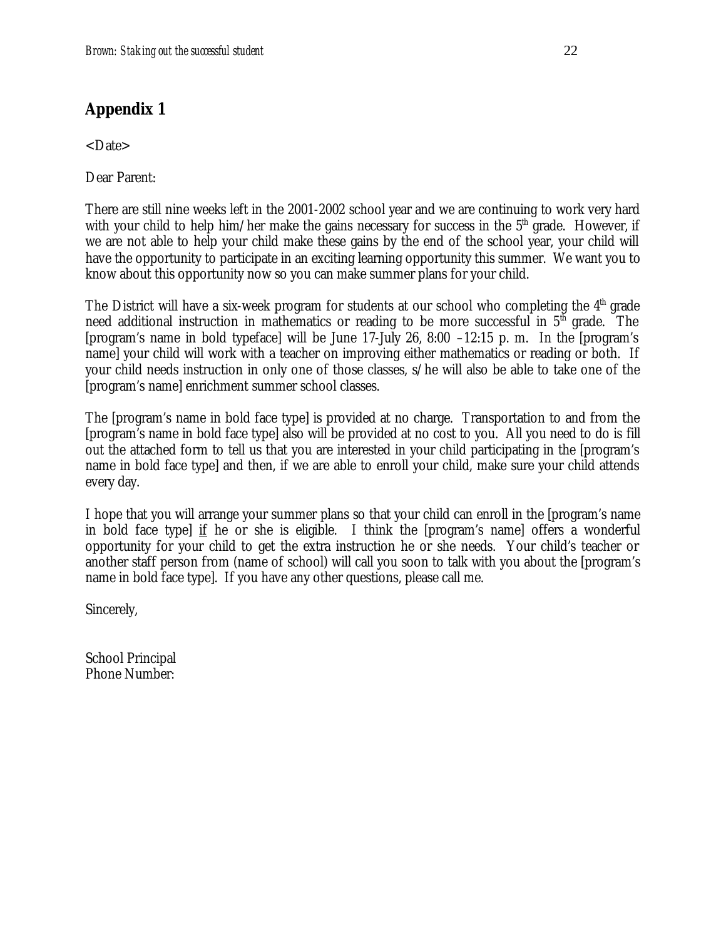# **Appendix 1**

<Date>

Dear Parent:

There are still nine weeks left in the 2001-2002 school year and we are continuing to work very hard with your child to help him/her make the gains necessary for success in the  $5<sup>th</sup>$  grade. However, if we are not able to help your child make these gains by the end of the school year, your child will have the opportunity to participate in an exciting learning opportunity this summer. We want you to know about this opportunity now so you can make summer plans for your child.

The District will have a six-week program for students at our school who completing the  $4<sup>th</sup>$  grade need additional instruction in mathematics or reading to be more successful in  $5<sup>th</sup>$  grade. The [program's name in bold typeface] will be June 17-July 26, 8:00 –12:15 p. m. In the [program's name] your child will work with a teacher on improving either mathematics or reading or both. If your child needs instruction in only one of those classes, s/he will also be able to take one of the [program's name] enrichment summer school classes.

The [program's name in bold face type] is provided at no charge. Transportation to and from the [program's name in bold face type] also will be provided at no cost to you. All you need to do is fill out the attached form to tell us that you are interested in your child participating in the [program's name in bold face type] and then, if we are able to enroll your child, make sure your child attends every day.

I hope that you will arrange your summer plans so that your child can enroll in the [program's name in bold face type] if he or she is eligible. I think the [program's name] offers a wonderful opportunity for your child to get the extra instruction he or she needs. Your child's teacher or another staff person from (name of school) will call you soon to talk with you about the [program's name in bold face type]. If you have any other questions, please call me.

Sincerely,

School Principal Phone Number: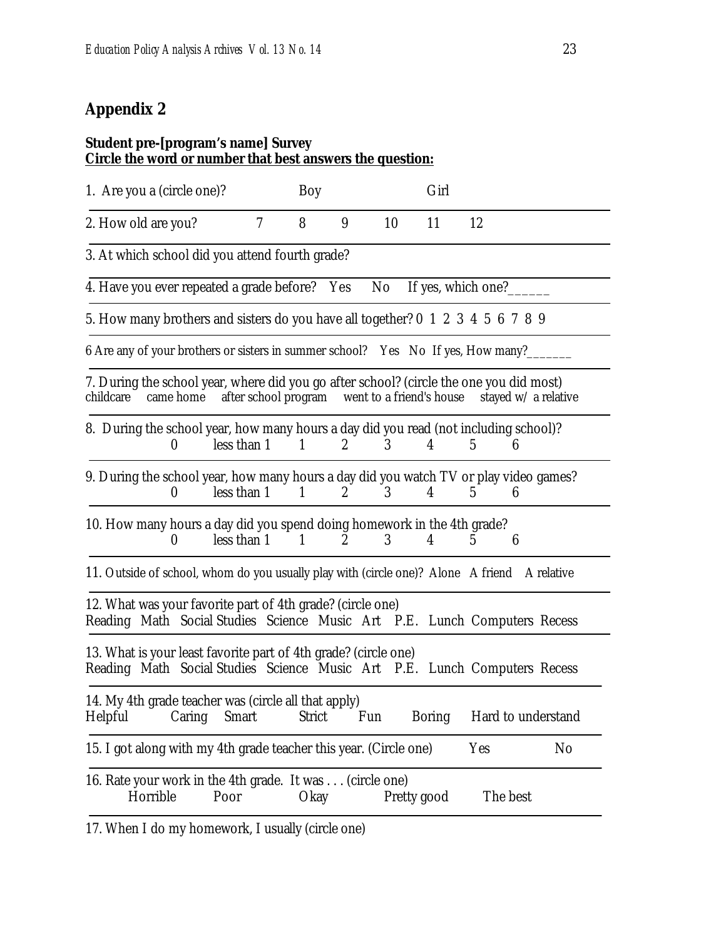# **Appendix 2**

#### **Student pre-[program's name] Survey Circle the word or number that best answers the question:**

| 1. Are you a (circle one)?                                                                                                                   |                                               | Boy            |                       |                | Girl          |                     |                      |
|----------------------------------------------------------------------------------------------------------------------------------------------|-----------------------------------------------|----------------|-----------------------|----------------|---------------|---------------------|----------------------|
| 2. How old are you?                                                                                                                          | $7\phantom{.0}$                               | 8              | 9                     | 10             | 11            | 12                  |                      |
| 3. At which school did you attend fourth grade?                                                                                              |                                               |                |                       |                |               |                     |                      |
| 4. Have you ever repeated a grade before? Yes                                                                                                |                                               |                |                       | No             |               | If yes, which one?  |                      |
| 5. How many brothers and sisters do you have all together? 0 1 2 3 4 5 6 7 8 9                                                               |                                               |                |                       |                |               |                     |                      |
| 6 Are any of your brothers or sisters in summer school? Yes No If yes, How many?                                                             |                                               |                |                       |                |               |                     |                      |
| 7. During the school year, where did you go after school? (circle the one you did most)<br>childcare<br>came home                            | after school program went to a friend's house |                |                       |                |               |                     | stayed w/ a relative |
| 8. During the school year, how many hours a day did you read (not including school)?<br>0                                                    | less than 1                                   | $\mathbf{1}$   | $\mathbf{2}$          | 3              | 4             | 5<br>6              |                      |
| 9. During the school year, how many hours a day did you watch TV or play video games?<br>$\boldsymbol{0}$                                    | less than 1                                   | $\mathbf{1}$   | $\mathbf{2}$          | 3 <sup>1</sup> | 4             | $5^{\circ}$<br>6    |                      |
| 10. How many hours a day did you spend doing homework in the 4th grade?<br>0                                                                 | less than 1                                   | $\blacksquare$ | $\mathbf{2}^{\prime}$ | 3              | 4             | $\overline{5}$<br>6 |                      |
| 11. Outside of school, whom do you usually play with (circle one)? Alone A friend A relative                                                 |                                               |                |                       |                |               |                     |                      |
| 12. What was your favorite part of 4th grade? (circle one)<br>Reading Math Social Studies Science Music Art P.E. Lunch Computers Recess      |                                               |                |                       |                |               |                     |                      |
| 13. What is your least favorite part of 4th grade? (circle one)<br>Reading Math Social Studies Science Music Art P.E. Lunch Computers Recess |                                               |                |                       |                |               |                     |                      |
| 14. My 4th grade teacher was (circle all that apply)<br>Helpful<br>Caring                                                                    | Smart                                         | <b>Strict</b>  | Fun                   |                | <b>Boring</b> |                     | Hard to understand   |
| 15. I got along with my 4th grade teacher this year. (Circle one)                                                                            |                                               |                |                       |                |               | Yes                 | No                   |
| 16. Rate your work in the 4th grade. It was (circle one)<br>Horrible<br>Poor                                                                 |                                               | Okay           |                       |                | Pretty good   | The best            |                      |

17. When I do my homework, I usually (circle one)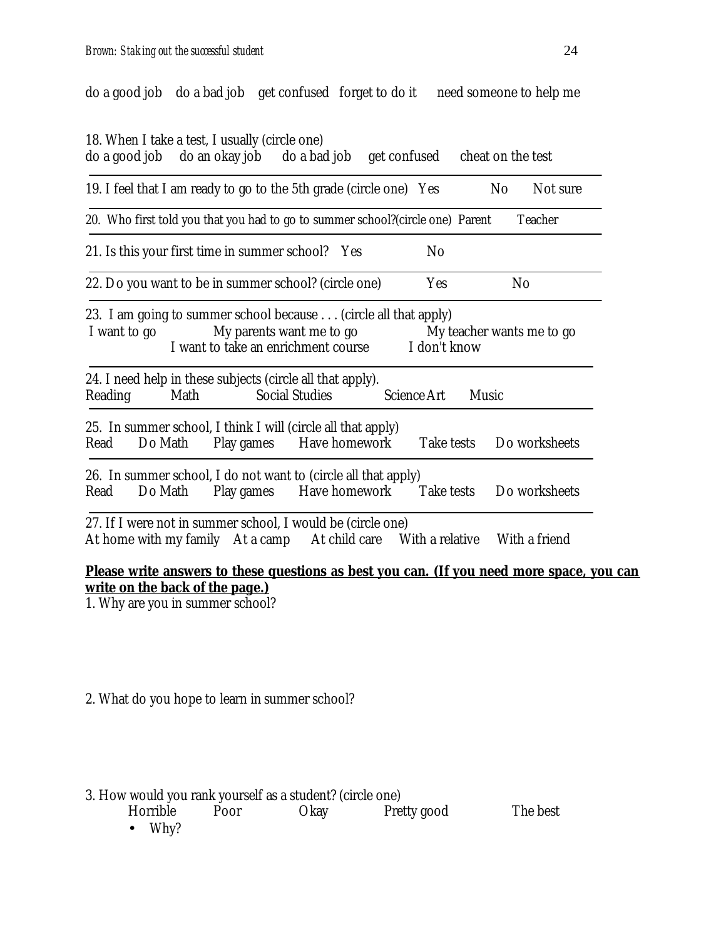do a good job do a bad job get confused forget to do it need someone to help me

18. When I take a test, I usually (circle one)

| do a good job           | do an okay job do a bad job get confused                                                                                                                                     |                                                   |                | cheat on the test     |                           |
|-------------------------|------------------------------------------------------------------------------------------------------------------------------------------------------------------------------|---------------------------------------------------|----------------|-----------------------|---------------------------|
|                         | 19. I feel that I am ready to go to the 5th grade (circle one) Yes                                                                                                           |                                                   |                | N <sub>0</sub>        | Not sure                  |
|                         | 20. Who first told you that you had to go to summer school?(circle one) Parent                                                                                               |                                                   |                |                       | Teacher                   |
|                         | 21. Is this your first time in summer school? Yes                                                                                                                            |                                                   | N <sub>0</sub> |                       |                           |
|                         | 22. Do you want to be in summer school? (circle one)                                                                                                                         |                                                   | <b>Yes</b>     |                       | N <sub>0</sub>            |
| I want to go<br>Reading | 23. I am going to summer school because (circle all that apply)<br>I want to take an enrichment course<br>24. I need help in these subjects (circle all that apply).<br>Math | My parents want me to go<br><b>Social Studies</b> | Science Art    | I don't know<br>Music | My teacher wants me to go |
| Do Math<br>Read         | 25. In summer school, I think I will (circle all that apply)                                                                                                                 | Play games Have homework                          |                |                       | Take tests Do worksheets  |
| Read                    | 26. In summer school, I do not want to (circle all that apply)<br>Do Math                                                                                                    | Play games Have homework                          |                | Take tests            | Do worksheets             |
|                         | 27. If I were not in summer school, I would be (circle one)<br>At home with my family At a camp At child care With a relative                                                |                                                   |                |                       | With a friend             |

#### **Please write answers to these questions as best you can. (If you need more space, you can write on the back of the page.)**

1. Why are you in summer school?

2. What do you hope to learn in summer school?

#### 3. How would you rank yourself as a student? (circle one)

| Horrible | Poor | Okay | Pretty good | The best |
|----------|------|------|-------------|----------|
| Why?     |      |      |             |          |

• Why?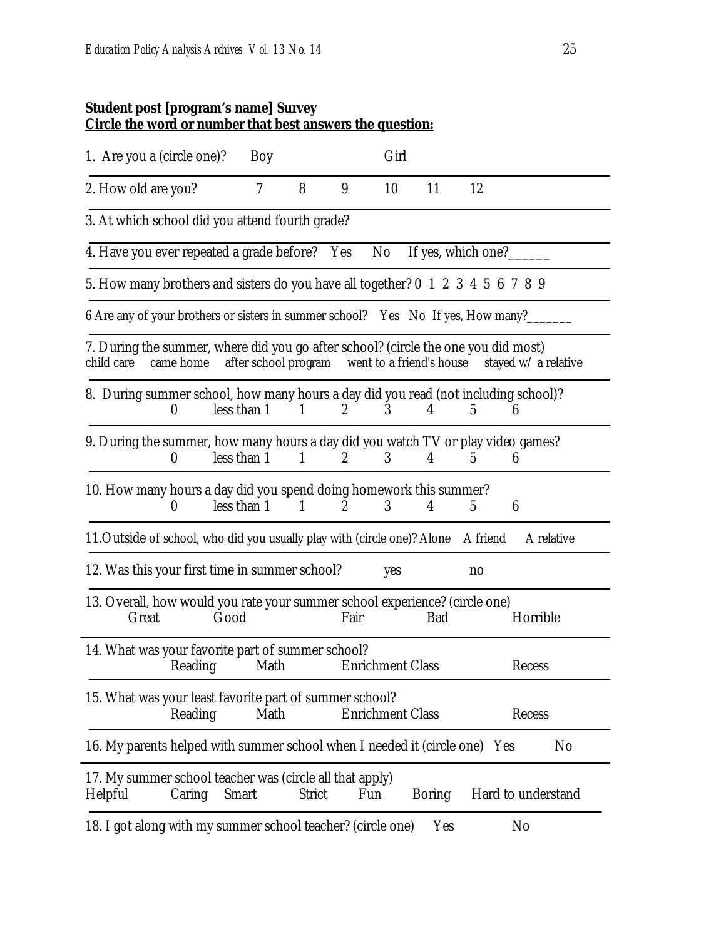#### **Student post [program's name] Survey Circle the word or number that best answers the question:**

| 1. Are you a (circle one)?                                                                                    | Boy                                           |               |                  | Girl                    |               |                        |                      |
|---------------------------------------------------------------------------------------------------------------|-----------------------------------------------|---------------|------------------|-------------------------|---------------|------------------------|----------------------|
| 2. How old are you?                                                                                           | $\tau$                                        | 8             | 9                | 10                      | 11            | 12                     |                      |
| 3. At which school did you attend fourth grade?                                                               |                                               |               |                  |                         |               |                        |                      |
| 4. Have you ever repeated a grade before? Yes                                                                 |                                               |               |                  | No                      |               | If yes, which one?____ |                      |
| 5. How many brothers and sisters do you have all together? 0 1 2 3 4 5 6 7 8 9                                |                                               |               |                  |                         |               |                        |                      |
| 6 Are any of your brothers or sisters in summer school? Yes No If yes, How many?                              |                                               |               |                  |                         |               |                        |                      |
| 7. During the summer, where did you go after school? (circle the one you did most)<br>child care<br>came home | after school program went to a friend's house |               |                  |                         |               |                        | stayed w/ a relative |
| 8. During summer school, how many hours a day did you read (not including school)?<br>$\boldsymbol{0}$        | less than 1                                   | $\mathbf{1}$  | $\mathbf{2}$     | 3                       | 4             | 5                      | 6                    |
| 9. During the summer, how many hours a day did you watch TV or play video games?<br>$\boldsymbol{0}$          | less than 1                                   | 1             | $\boldsymbol{2}$ | 3                       | 4             | 5                      | 6                    |
| 10. How many hours a day did you spend doing homework this summer?<br>$\theta$                                | less than 1                                   | $\mathbf{1}$  | $\overline{2}$   | 3                       | 4             | $\overline{5}$         | 6                    |
| 11. Outside of school, who did you usually play with (circle one)? Alone                                      |                                               |               |                  |                         |               | A friend               | A relative           |
| 12. Was this your first time in summer school?                                                                |                                               |               |                  | yes                     |               | no                     |                      |
| 13. Overall, how would you rate your summer school experience? (circle one)<br>Good<br>Great                  |                                               |               | Fair             |                         | Bad           |                        | Horrible             |
| 14. What was your favorite part of summer school?<br>Reading                                                  | Math                                          |               |                  | <b>Enrichment Class</b> |               |                        | Recess               |
| 15. What was your least favorite part of summer school?<br>Reading                                            | Math                                          |               |                  | <b>Enrichment Class</b> |               |                        | Recess               |
| 16. My parents helped with summer school when I needed it (circle one) Yes                                    |                                               |               |                  |                         |               |                        | N <sub>0</sub>       |
| 17. My summer school teacher was (circle all that apply)<br>Helpful<br>Caring                                 | <b>Smart</b>                                  | <b>Strict</b> |                  | Fun                     | <b>Boring</b> |                        | Hard to understand   |
| 18. I got along with my summer school teacher? (circle one)                                                   |                                               |               |                  |                         | Yes           |                        | N <sub>0</sub>       |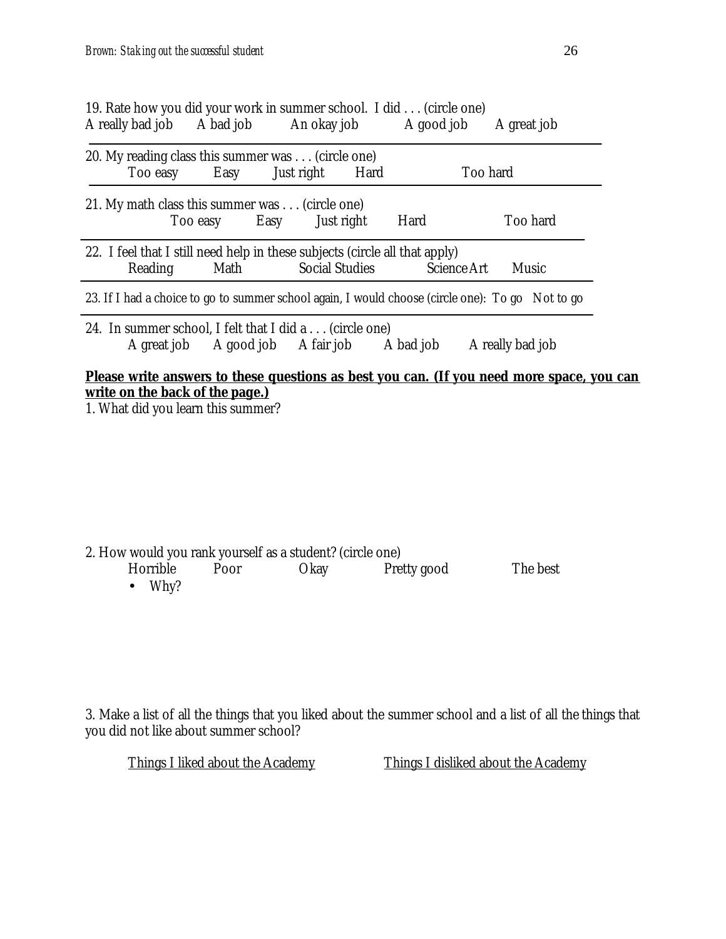| A really bad job A bad job                                                             |          | An okay job                       |                       | A good job  | A great job                                                                                      |
|----------------------------------------------------------------------------------------|----------|-----------------------------------|-----------------------|-------------|--------------------------------------------------------------------------------------------------|
| 20. My reading class this summer was (circle one)<br>Too easy                          | Easy     | Just right                        | Hard                  |             | Too hard                                                                                         |
| 21. My math class this summer was (circle one)                                         | Too easy | Easy                              | Just right            | Hard        | Too hard                                                                                         |
| 22. I feel that I still need help in these subjects (circle all that apply)<br>Reading | Math     |                                   | <b>Social Studies</b> | Science Art | Music                                                                                            |
|                                                                                        |          |                                   |                       |             | 23. If I had a choice to go to summer school again, I would choose (circle one): To go Not to go |
| 24. In summer school, I felt that I did a (circle one)                                 |          | A great job A good job A fair job |                       | A bad job   | A really bad job                                                                                 |
|                                                                                        |          |                                   |                       |             | Please write answers to these questions as best you can. (If you need more space, you can        |

**write on the back of the page.)** 1. What did you learn this summer?

| 2. How would you rank yourself as a student? (circle one) |      |      |             |          |
|-----------------------------------------------------------|------|------|-------------|----------|
| Horrible                                                  | Poor | Okay | Pretty good | The best |
|                                                           |      |      |             |          |

• Why?

3. Make a list of all the things that you liked about the summer school and a list of all the things that you did not like about summer school?

Things I liked about the Academy Things I disliked about the Academy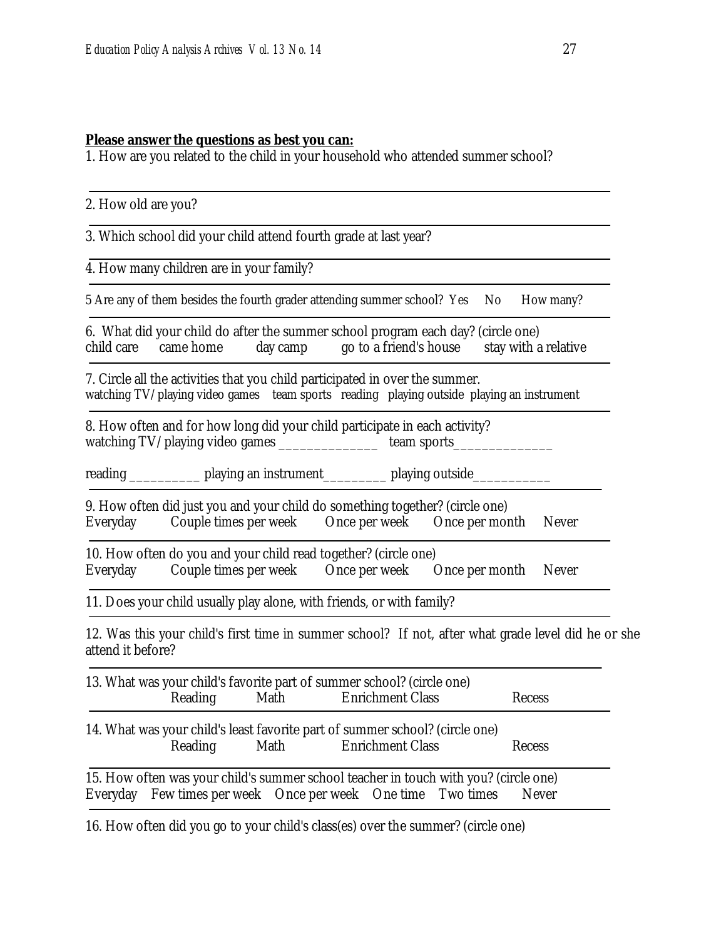#### **Please answer the questions as best you can:**

1. How are you related to the child in your household who attended summer school?

2. How old are you?

3. Which school did your child attend fourth grade at last year?

4. How many children are in your family?

5 Are any of them besides the fourth grader attending summer school? Yes No How many?

6. What did your child do after the summer school program each day? (circle one) child care came home day camp go to a friend's house stay with a relative

7. Circle all the activities that you child participated in over the summer. watching TV/playing video games team sports reading playing outside playing an instrument

8. How often and for how long did your child participate in each activity? watching TV/playing video games \_\_\_\_\_\_\_\_\_\_\_\_\_\_\_\_\_\_\_\_\_team sports

reading \_\_\_\_\_\_\_\_\_\_\_\_\_\_\_ playing an instrument\_\_\_\_\_\_\_\_\_\_\_\_\_\_\_\_ playing outside\_\_\_\_

9. How often did just you and your child do something together? (circle one) Everyday Couple times per week Once per week Once per month Never

10. How often do you and your child read together? (circle one) Everyday Couple times per week Once per week Once per month Never

11. Does your child usually play alone, with friends, or with family?

12. Was this your child's first time in summer school? If not, after what grade level did he or she attend it before?

| Reading | 13. What was your child's favorite part of summer school? (circle one)<br>Math Enrichment Class                                                            | Recess |
|---------|------------------------------------------------------------------------------------------------------------------------------------------------------------|--------|
| Reading | 14. What was your child's least favorite part of summer school? (circle one)<br>Math Enrichment Class                                                      | Recess |
|         | 15. How often was your child's summer school teacher in touch with you? (circle one)<br>Everyday Few times per week Once per week One time Two times Never |        |

16. How often did you go to your child's class(es) over the summer? (circle one)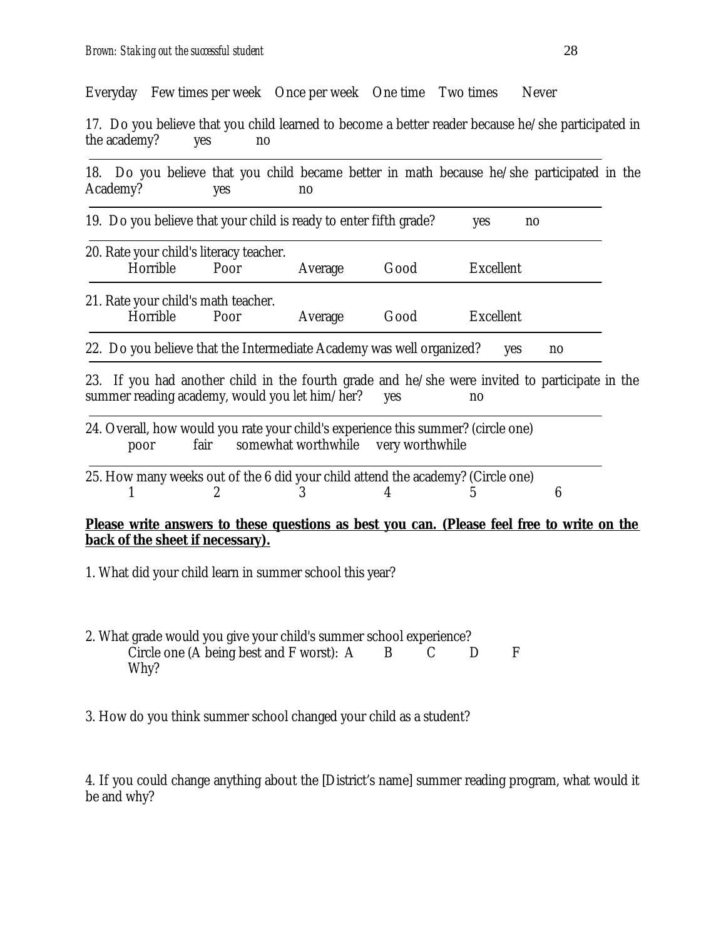Everyday Few times per week Once per week One time Two times Never

17. Do you believe that you child learned to become a better reader because he/she participated in the academy? yes no

|                                                                      | 19. Do you believe that your child is ready to enter fifth grade?                                                                                |         |                                     | yes<br>n <sub>0</sub> |    |  |
|----------------------------------------------------------------------|--------------------------------------------------------------------------------------------------------------------------------------------------|---------|-------------------------------------|-----------------------|----|--|
| Horrible                                                             | 20. Rate your child's literacy teacher.<br>Poor                                                                                                  | Average | Good                                | Excellent             |    |  |
| Horrible                                                             | 21. Rate your child's math teacher.<br>Poor                                                                                                      | Average | Good                                | Excellent             |    |  |
| 22. Do you believe that the Intermediate Academy was well organized? |                                                                                                                                                  |         |                                     |                       |    |  |
|                                                                      |                                                                                                                                                  |         |                                     | yes                   | no |  |
|                                                                      | 23. If you had another child in the fourth grade and he/she were invited to participate in the<br>summer reading academy, would you let him/her? |         | <b>ves</b>                          | no                    |    |  |
| poor                                                                 | 24. Overall, how would you rate your child's experience this summer? (circle one)<br>fair                                                        |         | somewhat worthwhile very worthwhile |                       |    |  |

- 1. What did your child learn in summer school this year?
- 2. What grade would you give your child's summer school experience?<br>Circle one (A being best and F worst): A B C D Circle one (A being best and F worst):  $A$  B C D F Why?
- 3. How do you think summer school changed your child as a student?

4. If you could change anything about the [District's name] summer reading program, what would it be and why?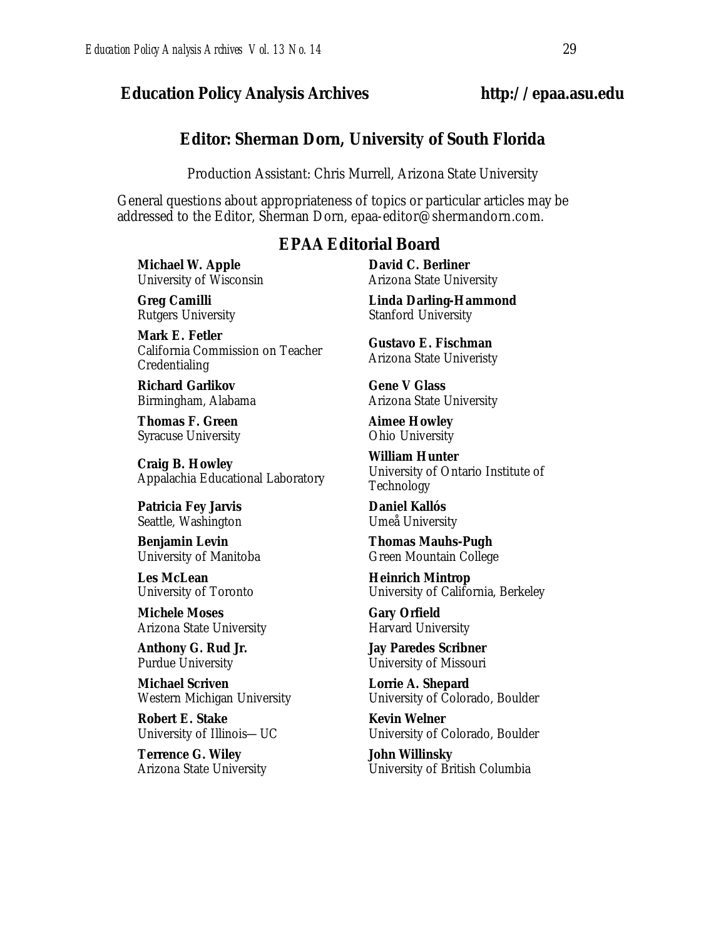#### *Education Policy Analysis Archives* **http://epaa.asu.edu**

#### **Editor: Sherman Dorn, University of South Florida**

Production Assistant: Chris Murrell, Arizona State University

General questions about appropriateness of topics or particular articles may be addressed to the Editor, Sherman Dorn, epaa-editor@shermandorn.com.

#### *EPAA* **Editorial Board**

**Michael W. Apple** University of Wisconsin

**Greg Camilli** Rutgers University

**Mark E. Fetler** California Commission on Teacher Credentialing

**Richard Garlikov** Birmingham, Alabama

**Thomas F. Green** Syracuse University

**Craig B. Howley** Appalachia Educational Laboratory

**Patricia Fey Jarvis**  Seattle, Washington

**Benjamin Levin** University of Manitoba

**Les McLean** University of Toronto

**Michele Moses** Arizona State University

**Anthony G. Rud Jr.** Purdue University

**Michael Scriven** Western Michigan University

**Robert E. Stake**  University of Illinois—UC

**Terrence G. Wiley** Arizona State University **David C. Berliner**  Arizona State University

**Linda Darling-Hammond**  Stanford University

**Gustavo E. Fischman** Arizona State Univeristy

**Gene V Glass** Arizona State University

**Aimee Howley** Ohio University

**William Hunter** University of Ontario Institute of Technology

**Daniel Kallós** Umeå University

**Thomas Mauhs-Pugh** Green Mountain College

**Heinrich Mintrop**  University of California, Berkeley

**Gary Orfield** Harvard University

**Jay Paredes Scribner** University of Missouri

**Lorrie A. Shepard** University of Colorado, Boulder

**Kevin Welner** University of Colorado, Boulder

**John Willinsky** University of British Columbia